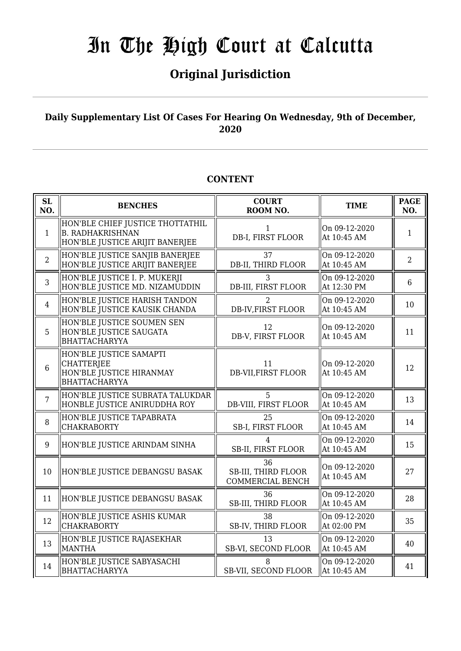## **Original Jurisdiction**

### **Daily Supplementary List Of Cases For Hearing On Wednesday, 9th of December, 2020**

### **CONTENT**

| <b>SL</b><br>NO. | <b>BENCHES</b>                                                                                 | <b>COURT</b><br>ROOM NO.                                    | <b>TIME</b>                  | <b>PAGE</b><br>NO. |
|------------------|------------------------------------------------------------------------------------------------|-------------------------------------------------------------|------------------------------|--------------------|
| $\mathbf{1}$     | HON'BLE CHIEF JUSTICE THOTTATHIL<br><b>B. RADHAKRISHNAN</b><br>HON'BLE JUSTICE ARIJIT BANERJEE | $\mathbf{1}$<br>DB-I, FIRST FLOOR                           | On 09-12-2020<br>At 10:45 AM | $\mathbf{1}$       |
| $\overline{2}$   | HON'BLE JUSTICE SANJIB BANERJEE<br>HON'BLE JUSTICE ARIJIT BANERJEE                             | 37<br>DB-II, THIRD FLOOR                                    | On 09-12-2020<br>At 10:45 AM | $\overline{2}$     |
| 3                | HON'BLE JUSTICE I. P. MUKERJI<br>HON'BLE JUSTICE MD. NIZAMUDDIN                                | 3<br>DB-III, FIRST FLOOR                                    | On 09-12-2020<br>At 12:30 PM | $6\phantom{1}$     |
| $\overline{4}$   | HON'BLE JUSTICE HARISH TANDON<br>HON'BLE JUSTICE KAUSIK CHANDA                                 | 2<br>DB-IV, FIRST FLOOR                                     | On 09-12-2020<br>At 10:45 AM | 10                 |
| 5                | HON'BLE JUSTICE SOUMEN SEN<br>HON'BLE JUSTICE SAUGATA<br><b>BHATTACHARYYA</b>                  | 12<br>DB-V, FIRST FLOOR                                     | On 09-12-2020<br>At 10:45 AM | 11                 |
| 6                | HON'BLE JUSTICE SAMAPTI<br>CHATTERJEE<br>HON'BLE JUSTICE HIRANMAY<br><b>BHATTACHARYYA</b>      | 11<br><b>DB-VII, FIRST FLOOR</b>                            | On 09-12-2020<br>At 10:45 AM | 12                 |
| $\overline{7}$   | HON'BLE JUSTICE SUBRATA TALUKDAR<br>HONBLE JUSTICE ANIRUDDHA ROY                               | 5<br>DB-VIII, FIRST FLOOR                                   | On 09-12-2020<br>At 10:45 AM | 13                 |
| 8                | HON'BLE JUSTICE TAPABRATA<br><b>CHAKRABORTY</b>                                                | 25<br>SB-I, FIRST FLOOR                                     | On 09-12-2020<br>At 10:45 AM | 14                 |
| 9                | HON'BLE JUSTICE ARINDAM SINHA                                                                  | 4<br>SB-II, FIRST FLOOR                                     | On 09-12-2020<br>At 10:45 AM | 15                 |
| 10               | HON'BLE JUSTICE DEBANGSU BASAK                                                                 | 36<br><b>SB-III, THIRD FLOOR</b><br><b>COMMERCIAL BENCH</b> | On 09-12-2020<br>At 10:45 AM | 27                 |
| 11               | HON'BLE JUSTICE DEBANGSU BASAK                                                                 | 36<br>SB-III, THIRD FLOOR                                   | On 09-12-2020<br>At 10:45 AM | 28                 |
| 12               | HON'BLE JUSTICE ASHIS KUMAR<br><b>CHAKRABORTY</b>                                              | 38<br>SB-IV, THIRD FLOOR                                    | On 09-12-2020<br>At 02:00 PM | 35                 |
| 13               | HON'BLE JUSTICE RAJASEKHAR<br>MANTHA                                                           | 13<br>SB-VI, SECOND FLOOR                                   | On 09-12-2020<br>At 10:45 AM | 40                 |
| 14               | HON'BLE JUSTICE SABYASACHI<br><b>BHATTACHARYYA</b>                                             | 8<br>SB-VII, SECOND FLOOR                                   | On 09-12-2020<br>At 10:45 AM | 41                 |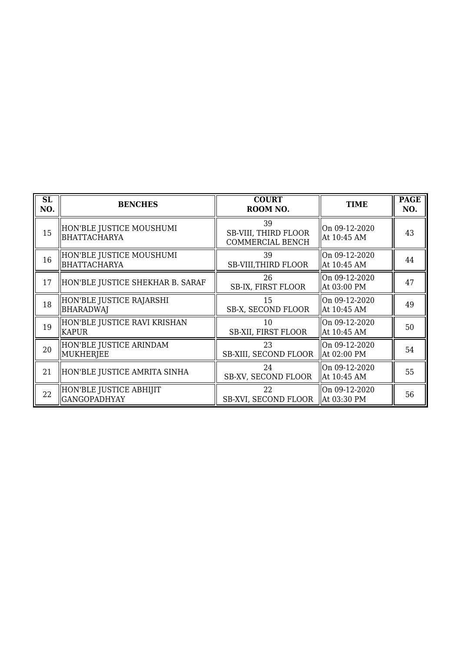| SL<br>NO. | <b>BENCHES</b>                                 | <b>COURT</b><br>ROOM NO.                              | <b>TIME</b>                  | <b>PAGE</b><br>NO. |
|-----------|------------------------------------------------|-------------------------------------------------------|------------------------------|--------------------|
| 15        | HON'BLE JUSTICE MOUSHUMI<br>BHATTACHARYA       | 39<br><b>SB-VIII, THIRD FLOOR</b><br>COMMERCIAL BENCH | On 09-12-2020<br>At 10:45 AM | 43                 |
| 16        | HON'BLE JUSTICE MOUSHUMI<br>BHATTACHARYA       | 39<br><b>SB-VIII, THIRD FLOOR</b>                     | On 09-12-2020<br>At 10:45 AM | 44                 |
| 17        | HON'BLE JUSTICE SHEKHAR B. SARAF               | 26<br>SB-IX, FIRST FLOOR                              | On 09-12-2020<br>At 03:00 PM | 47                 |
| 18        | HON'BLE JUSTICE RAJARSHI<br><b>BHARADWAJ</b>   | 15<br>SB-X, SECOND FLOOR                              | On 09-12-2020<br>At 10:45 AM | 49                 |
| 19        | HON'BLE JUSTICE RAVI KRISHAN<br><b>KAPUR</b>   | 10<br>SB-XII, FIRST FLOOR                             | On 09-12-2020<br>At 10:45 AM | 50                 |
| 20        | HON'BLE JUSTICE ARINDAM<br>MUKHERJEE           | 23<br><b>SB-XIII, SECOND FLOOR</b>                    | On 09-12-2020<br>At 02:00 PM | 54                 |
| 21        | HON'BLE JUSTICE AMRITA SINHA                   | 24<br>SB-XV, SECOND FLOOR                             | On 09-12-2020<br>At 10:45 AM | 55                 |
| 22        | HON'BLE JUSTICE ABHIJIT<br><b>GANGOPADHYAY</b> | 22<br>SB-XVI, SECOND FLOOR                            | On 09-12-2020<br>At 03:30 PM | 56                 |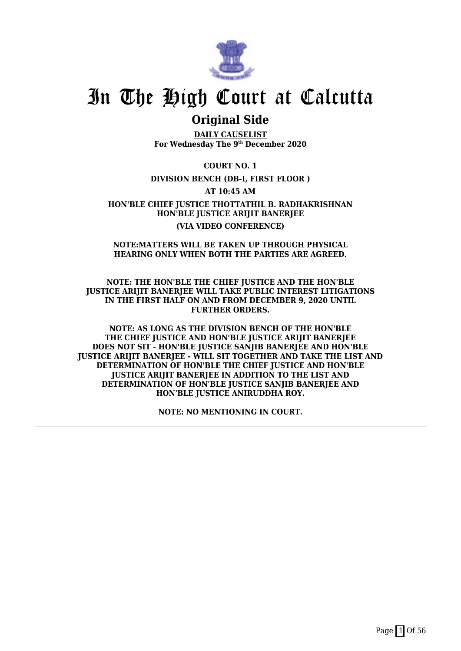

### **Original Side**

**DAILY CAUSELIST For Wednesday The 9th December 2020**

**COURT NO. 1**

**DIVISION BENCH (DB-I, FIRST FLOOR )**

**AT 10:45 AM**

**HON'BLE CHIEF JUSTICE THOTTATHIL B. RADHAKRISHNAN HON'BLE JUSTICE ARIJIT BANERJEE (VIA VIDEO CONFERENCE)**

### **NOTE:MATTERS WILL BE TAKEN UP THROUGH PHYSICAL HEARING ONLY WHEN BOTH THE PARTIES ARE AGREED.**

### **NOTE: THE HON'BLE THE CHIEF JUSTICE AND THE HON'BLE JUSTICE ARIJIT BANERJEE WILL TAKE PUBLIC INTEREST LITIGATIONS IN THE FIRST HALF ON AND FROM DECEMBER 9, 2020 UNTIL FURTHER ORDERS.**

**NOTE: AS LONG AS THE DIVISION BENCH OF THE HON'BLE THE CHIEF JUSTICE AND HON'BLE JUSTICE ARIJIT BANERJEE DOES NOT SIT - HON'BLE JUSTICE SANJIB BANERJEE AND HON'BLE JUSTICE ARIJIT BANERJEE - WILL SIT TOGETHER AND TAKE THE LIST AND DETERMINATION OF HON'BLE THE CHIEF JUSTICE AND HON'BLE JUSTICE ARIJIT BANERJEE IN ADDITION TO THE LIST AND DETERMINATION OF HON'BLE JUSTICE SANJIB BANERJEE AND HON'BLE JUSTICE ANIRUDDHA ROY.**

**NOTE: NO MENTIONING IN COURT.**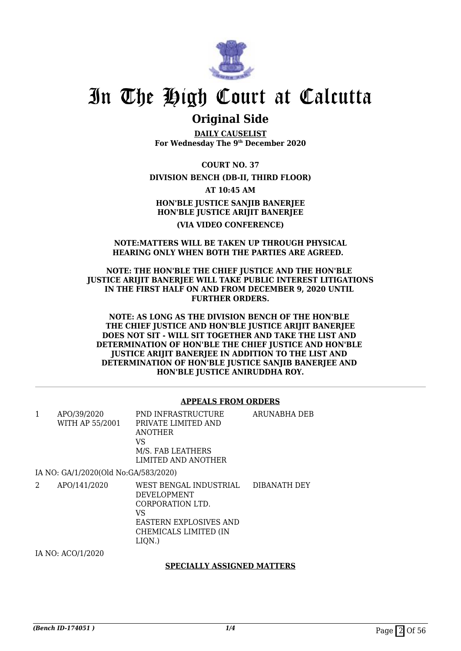

### **Original Side**

**DAILY CAUSELIST For Wednesday The 9th December 2020**

**COURT NO. 37**

### **DIVISION BENCH (DB-II, THIRD FLOOR)**

**AT 10:45 AM**

**HON'BLE JUSTICE SANJIB BANERJEE HON'BLE JUSTICE ARIJIT BANERJEE (VIA VIDEO CONFERENCE)**

#### **NOTE:MATTERS WILL BE TAKEN UP THROUGH PHYSICAL HEARING ONLY WHEN BOTH THE PARTIES ARE AGREED.**

#### **NOTE: THE HON'BLE THE CHIEF JUSTICE AND THE HON'BLE JUSTICE ARIJIT BANERJEE WILL TAKE PUBLIC INTEREST LITIGATIONS IN THE FIRST HALF ON AND FROM DECEMBER 9, 2020 UNTIL FURTHER ORDERS.**

**NOTE: AS LONG AS THE DIVISION BENCH OF THE HON'BLE THE CHIEF JUSTICE AND HON'BLE JUSTICE ARIJIT BANERJEE DOES NOT SIT - WILL SIT TOGETHER AND TAKE THE LIST AND DETERMINATION OF HON'BLE THE CHIEF JUSTICE AND HON'BLE JUSTICE ARIJIT BANERJEE IN ADDITION TO THE LIST AND DETERMINATION OF HON'BLE JUSTICE SANJIB BANERJEE AND HON'BLE JUSTICE ANIRUDDHA ROY.**

#### **APPEALS FROM ORDERS**

| 1 | APO/39/2020<br>WITH AP 55/2001       | PND INFRASTRUCTURE<br>PRIVATE LIMITED AND<br><b>ANOTHER</b><br>VS<br>M/S. FAB LEATHERS<br>LIMITED AND ANOTHER                                           | ARUNABHA DEB |
|---|--------------------------------------|---------------------------------------------------------------------------------------------------------------------------------------------------------|--------------|
|   | IA NO: GA/1/2020(Old No:GA/583/2020) |                                                                                                                                                         |              |
| 2 | APO/141/2020                         | WEST BENGAL INDUSTRIAL DIBANATH DEY<br><b>DEVELOPMENT</b><br>CORPORATION LTD.<br>VS<br><b>EASTERN EXPLOSIVES AND</b><br>CHEMICALS LIMITED (IN<br>LIQN.) |              |
|   | IA NO: ACO/1/2020                    |                                                                                                                                                         |              |

### **SPECIALLY ASSIGNED MATTERS**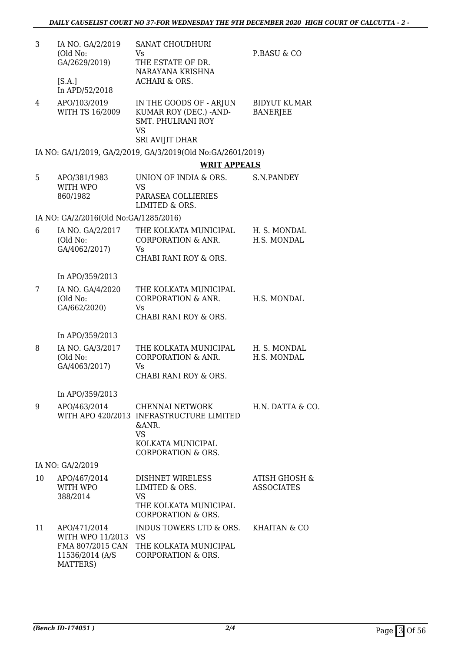| 3  | IA NO. GA/2/2019<br>(Old No:<br>GA/2629/2019)          | <b>SANAT CHOUDHURI</b><br>Vs<br>THE ESTATE OF DR.                                                                                       | P.BASU & CO                            |
|----|--------------------------------------------------------|-----------------------------------------------------------------------------------------------------------------------------------------|----------------------------------------|
|    | [S.A.]<br>In APD/52/2018                               | NARAYANA KRISHNA<br><b>ACHARI &amp; ORS.</b>                                                                                            |                                        |
| 4  | APO/103/2019<br>WITH TS 16/2009                        | IN THE GOODS OF - ARJUN<br>KUMAR ROY (DEC.) - AND-<br><b>SMT. PHULRANI ROY</b><br><b>VS</b>                                             | <b>BIDYUT KUMAR</b><br><b>BANERJEE</b> |
|    |                                                        | SRI AVIJIT DHAR                                                                                                                         |                                        |
|    |                                                        | IA NO: GA/1/2019, GA/2/2019, GA/3/2019(Old No:GA/2601/2019)                                                                             |                                        |
|    |                                                        | <b>WRIT APPEALS</b>                                                                                                                     |                                        |
| 5  | APO/381/1983<br>WITH WPO<br>860/1982                   | UNION OF INDIA & ORS.<br><b>VS</b><br>PARASEA COLLIERIES                                                                                | S.N.PANDEY                             |
|    | IA NO: GA/2/2016(Old No:GA/1285/2016)                  | LIMITED & ORS.                                                                                                                          |                                        |
| 6  | IA NO. GA/2/2017                                       | THE KOLKATA MUNICIPAL                                                                                                                   | H. S. MONDAL                           |
|    | (Old No:<br>GA/4062/2017)                              | <b>CORPORATION &amp; ANR.</b><br>Vs<br>CHABI RANI ROY & ORS.                                                                            | H.S. MONDAL                            |
|    |                                                        |                                                                                                                                         |                                        |
| 7  | In APO/359/2013<br>IA NO. GA/4/2020                    | THE KOLKATA MUNICIPAL                                                                                                                   |                                        |
|    | (Old No:<br>GA/662/2020)                               | <b>CORPORATION &amp; ANR.</b><br>Vs.<br>CHABI RANI ROY & ORS.                                                                           | H.S. MONDAL                            |
|    | In APO/359/2013                                        |                                                                                                                                         |                                        |
| 8  | IA NO. GA/3/2017<br>(Old No:<br>GA/4063/2017)          | THE KOLKATA MUNICIPAL<br>CORPORATION & ANR.<br>Vs<br>CHABI RANI ROY & ORS.                                                              | H. S. MONDAL<br>H.S. MONDAL            |
|    | In APO/359/2013                                        |                                                                                                                                         |                                        |
| 9  | APO/463/2014                                           | CHENNAI NETWORK<br>WITH APO 420/2013 INFRASTRUCTURE LIMITED<br>&ANR.<br><b>VS</b><br>KOLKATA MUNICIPAL<br><b>CORPORATION &amp; ORS.</b> | H.N. DATTA & CO.                       |
|    | IA NO: GA/2/2019                                       |                                                                                                                                         |                                        |
| 10 | APO/467/2014<br>WITH WPO<br>388/2014                   | <b>DISHNET WIRELESS</b><br>LIMITED & ORS.<br><b>VS</b><br>THE KOLKATA MUNICIPAL<br><b>CORPORATION &amp; ORS.</b>                        | ATISH GHOSH &<br><b>ASSOCIATES</b>     |
| 11 | APO/471/2014<br>WITH WPO 11/2013 VS<br>11536/2014 (A/S | INDUS TOWERS LTD & ORS.<br>FMA 807/2015 CAN THE KOLKATA MUNICIPAL<br><b>CORPORATION &amp; ORS.</b>                                      | KHAITAN & CO                           |

MATTERS)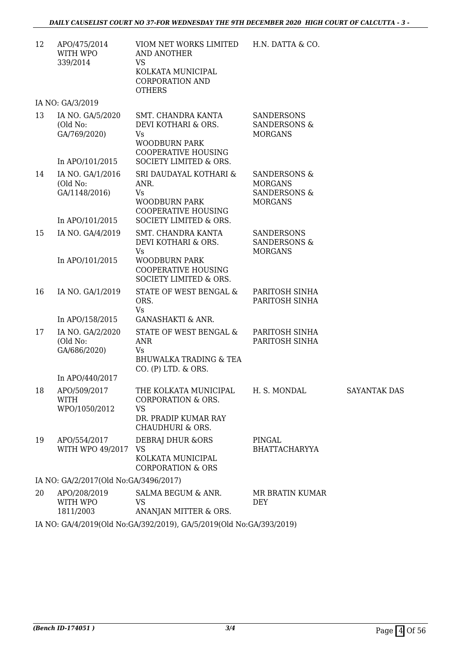12 APO/475/2014 WITH WPO 339/2014 VIOM NET WORKS LIMITED AND ANOTHER VS KOLKATA MUNICIPAL CORPORATION AND **OTHERS** H.N. DATTA & CO.

IA NO: GA/3/2019

|    | 17.110.07012013                                                  |                                                                                                                                                       |                                                                                        |                     |
|----|------------------------------------------------------------------|-------------------------------------------------------------------------------------------------------------------------------------------------------|----------------------------------------------------------------------------------------|---------------------|
| 13 | IA NO. GA/5/2020<br>(Old No:<br>GA/769/2020)                     | SMT. CHANDRA KANTA<br>DEVI KOTHARI & ORS.<br>Vs<br><b>WOODBURN PARK</b><br><b>COOPERATIVE HOUSING</b>                                                 | <b>SANDERSONS</b><br><b>SANDERSONS &amp;</b><br><b>MORGANS</b>                         |                     |
| 14 | In APO/101/2015<br>IA NO. GA/1/2016<br>(Old No:<br>GA/1148/2016) | SOCIETY LIMITED & ORS.<br>SRI DAUDAYAL KOTHARI &<br>ANR.<br><b>Vs</b><br><b>WOODBURN PARK</b><br><b>COOPERATIVE HOUSING</b><br>SOCIETY LIMITED & ORS. | <b>SANDERSONS &amp;</b><br><b>MORGANS</b><br><b>SANDERSONS &amp;</b><br><b>MORGANS</b> |                     |
| 15 | In APO/101/2015<br>IA NO. GA/4/2019<br>In APO/101/2015           | SMT. CHANDRA KANTA<br>DEVI KOTHARI & ORS.<br>Vs<br>WOODBURN PARK                                                                                      | <b>SANDERSONS</b><br><b>SANDERSONS &amp;</b><br><b>MORGANS</b>                         |                     |
|    |                                                                  | <b>COOPERATIVE HOUSING</b><br>SOCIETY LIMITED & ORS.                                                                                                  |                                                                                        |                     |
| 16 | IA NO. GA/1/2019                                                 | STATE OF WEST BENGAL &<br>ORS.<br>Vs                                                                                                                  | PARITOSH SINHA<br>PARITOSH SINHA                                                       |                     |
|    | In APO/158/2015                                                  | <b>GANASHAKTI &amp; ANR.</b>                                                                                                                          |                                                                                        |                     |
| 17 | IA NO. GA/2/2020<br>(Old No:<br>GA/686/2020)                     | STATE OF WEST BENGAL &<br><b>ANR</b><br>Vs.<br><b>BHUWALKA TRADING &amp; TEA</b><br>$CO.$ (P) LTD. $\&$ ORS.                                          | PARITOSH SINHA<br>PARITOSH SINHA                                                       |                     |
|    | In APO/440/2017                                                  |                                                                                                                                                       |                                                                                        |                     |
| 18 | APO/509/2017<br><b>WITH</b><br>WPO/1050/2012                     | THE KOLKATA MUNICIPAL<br><b>CORPORATION &amp; ORS.</b><br><b>VS</b><br>DR. PRADIP KUMAR RAY<br><b>CHAUDHURI &amp; ORS.</b>                            | H. S. MONDAL                                                                           | <b>SAYANTAK DAS</b> |
| 19 | APO/554/2017<br>WITH WPO 49/2017                                 | <b>DEBRAJ DHUR &amp;ORS</b><br>VS.<br>KOLKATA MUNICIPAL<br><b>CORPORATION &amp; ORS</b>                                                               | PINGAL<br><b>BHATTACHARYYA</b>                                                         |                     |
|    | IA NO: GA/2/2017(Old No:GA/3496/2017)                            |                                                                                                                                                       |                                                                                        |                     |
| 20 | APO/208/2019<br>WITH WPO<br>1811/2003                            | SALMA BEGUM & ANR.<br><b>VS</b><br>ANANJAN MITTER & ORS.                                                                                              | MR BRATIN KUMAR<br><b>DEY</b>                                                          |                     |
|    |                                                                  | IA NO: GA/4/2019(Old No:GA/392/2019), GA/5/2019(Old No:GA/393/2019)                                                                                   |                                                                                        |                     |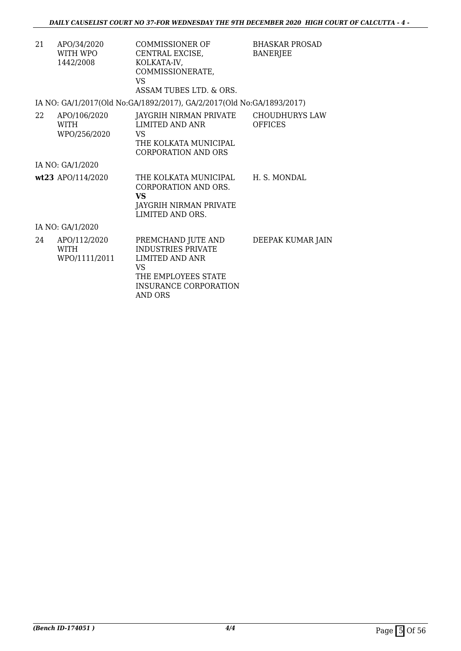| 21 | APO/34/2020<br>WITH WPO<br>1442/2008         | COMMISSIONER OF<br>CENTRAL EXCISE,<br>KOLKATA-IV,<br>COMMISSIONERATE,<br>VS.<br>ASSAM TUBES LTD. & ORS.       | <b>BHASKAR PROSAD</b><br><b>BANERJEE</b> |
|----|----------------------------------------------|---------------------------------------------------------------------------------------------------------------|------------------------------------------|
|    |                                              | IA NO: GA/1/2017(Old No:GA/1892/2017), GA/2/2017(Old No:GA/1893/2017)                                         |                                          |
| 22 | APO/106/2020<br><b>WITH</b><br>WPO/256/2020  | JAYGRIH NIRMAN PRIVATE<br><b>LIMITED AND ANR</b><br>VS<br>THE KOLKATA MUNICIPAL<br><b>CORPORATION AND ORS</b> | CHOUDHURYS LAW<br><b>OFFICES</b>         |
|    | IA NO: GA/1/2020                             |                                                                                                               |                                          |
|    | wt23 APO/114/2020                            | THE KOLKATA MUNICIPAL<br>CORPORATION AND ORS.<br><b>VS</b><br>JAYGRIH NIRMAN PRIVATE<br>LIMITED AND ORS.      | H. S. MONDAL                             |
|    | IA NO: GA/1/2020                             |                                                                                                               |                                          |
| 24 | APO/112/2020<br><b>WITH</b><br>WPO/1111/2011 | PREMCHAND JUTE AND<br><b>INDUSTRIES PRIVATE</b><br>LIMITED AND ANR<br>VS<br>THE EMPLOYEES STATE               | DEEPAK KUMAR JAIN                        |

INSURANCE CORPORATION

AND ORS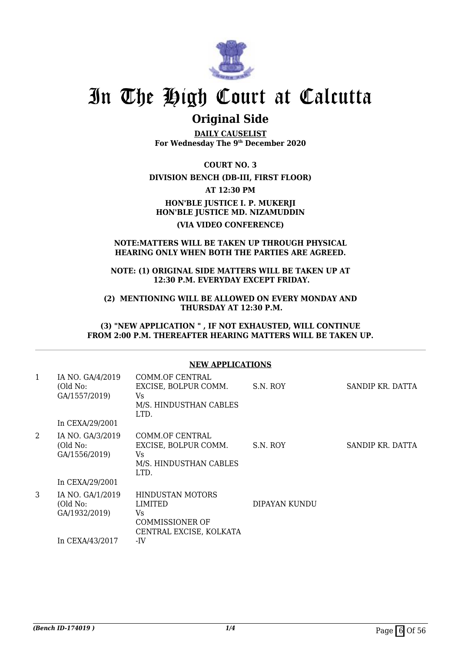

### **Original Side**

**DAILY CAUSELIST For Wednesday The 9th December 2020**

**COURT NO. 3**

#### **DIVISION BENCH (DB-III, FIRST FLOOR)**

**AT 12:30 PM**

**HON'BLE JUSTICE I. P. MUKERJI HON'BLE JUSTICE MD. NIZAMUDDIN (VIA VIDEO CONFERENCE)**

#### **NOTE:MATTERS WILL BE TAKEN UP THROUGH PHYSICAL HEARING ONLY WHEN BOTH THE PARTIES ARE AGREED.**

**NOTE: (1) ORIGINAL SIDE MATTERS WILL BE TAKEN UP AT 12:30 P.M. EVERYDAY EXCEPT FRIDAY.**

**(2) MENTIONING WILL BE ALLOWED ON EVERY MONDAY AND THURSDAY AT 12:30 P.M.**

**(3) "NEW APPLICATION " , IF NOT EXHAUSTED, WILL CONTINUE FROM 2:00 P.M. THEREAFTER HEARING MATTERS WILL BE TAKEN UP.**

#### **NEW APPLICATIONS**

| 1 | IA NO. GA/4/2019<br>(Old No:<br>GA/1557/2019)<br>In CEXA/29/2001 | COMM.OF CENTRAL<br>EXCISE, BOLPUR COMM.<br>Vs.<br>M/S. HINDUSTHAN CABLES<br>LTD.               | S.N. ROY      | SANDIP KR. DATTA |
|---|------------------------------------------------------------------|------------------------------------------------------------------------------------------------|---------------|------------------|
| 2 | IA NO. GA/3/2019<br>(Old No:<br>GA/1556/2019)<br>In CEXA/29/2001 | COMM.OF CENTRAL<br>EXCISE, BOLPUR COMM.<br>Vs<br>M/S. HINDUSTHAN CABLES<br>LTD.                | S.N. ROY      | SANDIP KR. DATTA |
| 3 | IA NO. GA/1/2019<br>(Old No:<br>GA/1932/2019)<br>In CEXA/43/2017 | HINDUSTAN MOTORS<br>LIMITED<br>Vs.<br><b>COMMISSIONER OF</b><br>CENTRAL EXCISE, KOLKATA<br>-IV | DIPAYAN KUNDU |                  |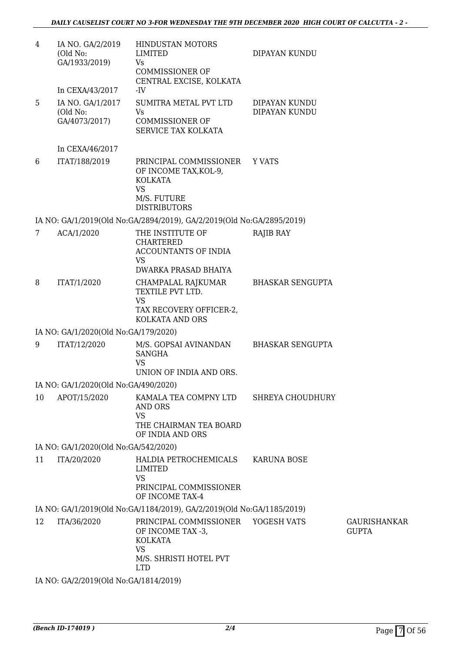| 4  | IA NO. GA/2/2019<br>(Old No:<br>GA/1933/2019)                    | HINDUSTAN MOTORS<br><b>LIMITED</b><br><b>Vs</b><br><b>COMMISSIONER OF</b><br>CENTRAL EXCISE, KOLKATA                           | DIPAYAN KUNDU                  |                                     |
|----|------------------------------------------------------------------|--------------------------------------------------------------------------------------------------------------------------------|--------------------------------|-------------------------------------|
| 5  | In CEXA/43/2017<br>IA NO. GA/1/2017<br>(Old No:<br>GA/4073/2017) | -IV<br>SUMITRA METAL PVT LTD<br>Vs<br><b>COMMISSIONER OF</b><br>SERVICE TAX KOLKATA                                            | DIPAYAN KUNDU<br>DIPAYAN KUNDU |                                     |
|    | In CEXA/46/2017                                                  |                                                                                                                                |                                |                                     |
| 6  | ITAT/188/2019                                                    | PRINCIPAL COMMISSIONER<br>OF INCOME TAX, KOL-9,<br><b>KOLKATA</b><br><b>VS</b><br>M/S. FUTURE<br><b>DISTRIBUTORS</b>           | Y VATS                         |                                     |
|    |                                                                  | IA NO: GA/1/2019(Old No:GA/2894/2019), GA/2/2019(Old No:GA/2895/2019)                                                          |                                |                                     |
| 7  | ACA/1/2020                                                       | THE INSTITUTE OF<br><b>CHARTERED</b><br><b>ACCOUNTANTS OF INDIA</b><br>VS                                                      | RAJIB RAY                      |                                     |
|    |                                                                  | DWARKA PRASAD BHAIYA                                                                                                           |                                |                                     |
| 8  | ITAT/1/2020                                                      | CHAMPALAL RAJKUMAR<br>TEXTILE PVT LTD.<br><b>VS</b><br>TAX RECOVERY OFFICER-2,<br><b>KOLKATA AND ORS</b>                       | <b>BHASKAR SENGUPTA</b>        |                                     |
|    | IA NO: GA/1/2020(Old No:GA/179/2020)                             |                                                                                                                                |                                |                                     |
| 9  | ITAT/12/2020                                                     | M/S. GOPSAI AVINANDAN<br><b>SANGHA</b><br><b>VS</b><br>UNION OF INDIA AND ORS.                                                 | <b>BHASKAR SENGUPTA</b>        |                                     |
|    | IA NO: GA/1/2020(Old No:GA/490/2020)                             |                                                                                                                                |                                |                                     |
| 10 | APOT/15/2020                                                     | KAMALA TEA COMPNY LTD<br>AND ORS<br><b>VS</b><br>THE CHAIRMAN TEA BOARD<br>OF INDIA AND ORS                                    | SHREYA CHOUDHURY               |                                     |
|    | IA NO: GA/1/2020(Old No:GA/542/2020)                             |                                                                                                                                |                                |                                     |
| 11 | ITA/20/2020                                                      | HALDIA PETROCHEMICALS<br>LIMITED<br><b>VS</b><br>PRINCIPAL COMMISSIONER<br>OF INCOME TAX-4                                     | <b>KARUNA BOSE</b>             |                                     |
|    |                                                                  | IA NO: GA/1/2019(Old No:GA/1184/2019), GA/2/2019(Old No:GA/1185/2019)                                                          |                                |                                     |
| 12 | ITA/36/2020                                                      | PRINCIPAL COMMISSIONER YOGESH VATS<br>OF INCOME TAX -3,<br><b>KOLKATA</b><br><b>VS</b><br>M/S. SHRISTI HOTEL PVT<br><b>LTD</b> |                                | <b>GAURISHANKAR</b><br><b>GUPTA</b> |

IA NO: GA/2/2019(Old No:GA/1814/2019)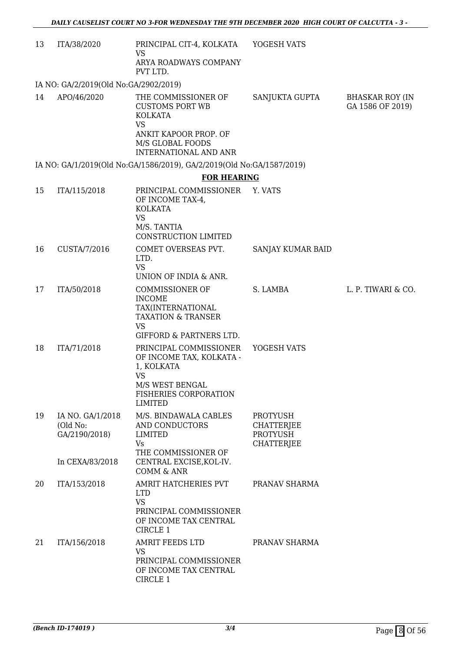| 13 | ITA/38/2020                                   | PRINCIPAL CIT-4, KOLKATA<br><b>VS</b>                                                                                                       | YOGESH VATS                                                                  |                                            |
|----|-----------------------------------------------|---------------------------------------------------------------------------------------------------------------------------------------------|------------------------------------------------------------------------------|--------------------------------------------|
|    |                                               | ARYA ROADWAYS COMPANY<br>PVT LTD.                                                                                                           |                                                                              |                                            |
|    | IA NO: GA/2/2019(Old No:GA/2902/2019)         |                                                                                                                                             |                                                                              |                                            |
| 14 | APO/46/2020                                   | THE COMMISSIONER OF<br><b>CUSTOMS PORT WB</b><br><b>KOLKATA</b><br><b>VS</b><br>ANKIT KAPOOR PROP. OF                                       | SANJUKTA GUPTA                                                               | <b>BHASKAR ROY (IN</b><br>GA 1586 OF 2019) |
|    |                                               | M/S GLOBAL FOODS<br><b>INTERNATIONAL AND ANR</b>                                                                                            |                                                                              |                                            |
|    |                                               | IA NO: GA/1/2019(Old No:GA/1586/2019), GA/2/2019(Old No:GA/1587/2019)                                                                       |                                                                              |                                            |
|    |                                               | <b>FOR HEARING</b>                                                                                                                          |                                                                              |                                            |
| 15 | ITA/115/2018                                  | PRINCIPAL COMMISSIONER<br>OF INCOME TAX-4,<br><b>KOLKATA</b><br><b>VS</b><br>M/S. TANTIA                                                    | Y. VATS                                                                      |                                            |
|    |                                               | CONSTRUCTION LIMITED                                                                                                                        |                                                                              |                                            |
| 16 | CUSTA/7/2016                                  | COMET OVERSEAS PVT.<br>LTD.<br><b>VS</b><br>UNION OF INDIA & ANR.                                                                           | SANJAY KUMAR BAID                                                            |                                            |
| 17 | ITA/50/2018                                   | <b>COMMISSIONER OF</b>                                                                                                                      | S. LAMBA                                                                     | L. P. TIWARI & CO.                         |
|    |                                               | <b>INCOME</b><br>TAX(INTERNATIONAL<br><b>TAXATION &amp; TRANSER</b><br><b>VS</b><br><b>GIFFORD &amp; PARTNERS LTD.</b>                      |                                                                              |                                            |
| 18 | ITA/71/2018                                   | PRINCIPAL COMMISSIONER<br>OF INCOME TAX, KOLKATA -<br>1, KOLKATA<br><b>VS</b><br>M/S WEST BENGAL<br>FISHERIES CORPORATION<br><b>LIMITED</b> | YOGESH VATS                                                                  |                                            |
| 19 | IA NO. GA/1/2018<br>(Old No:<br>GA/2190/2018) | M/S. BINDAWALA CABLES<br>AND CONDUCTORS<br><b>LIMITED</b><br>Vs<br>THE COMMISSIONER OF                                                      | <b>PROTYUSH</b><br><b>CHATTERJEE</b><br><b>PROTYUSH</b><br><b>CHATTERJEE</b> |                                            |
|    | In CEXA/83/2018                               | CENTRAL EXCISE, KOL-IV.<br>COMM & ANR                                                                                                       |                                                                              |                                            |
| 20 | ITA/153/2018                                  | AMRIT HATCHERIES PVT<br><b>LTD</b><br><b>VS</b><br>PRINCIPAL COMMISSIONER<br>OF INCOME TAX CENTRAL<br>CIRCLE 1                              | PRANAV SHARMA                                                                |                                            |
| 21 | ITA/156/2018                                  | AMRIT FEEDS LTD<br><b>VS</b><br>PRINCIPAL COMMISSIONER<br>OF INCOME TAX CENTRAL<br>CIRCLE 1                                                 | PRANAV SHARMA                                                                |                                            |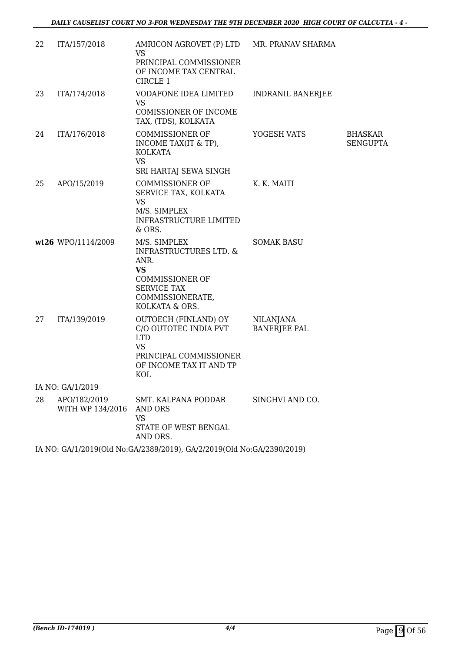| 22 | ITA/157/2018                     | AMRICON AGROVET (P) LTD<br><b>VS</b>                                                                                                 | MR. PRANAV SHARMA                       |                            |
|----|----------------------------------|--------------------------------------------------------------------------------------------------------------------------------------|-----------------------------------------|----------------------------|
|    |                                  | PRINCIPAL COMMISSIONER<br>OF INCOME TAX CENTRAL<br>CIRCLE 1                                                                          |                                         |                            |
| 23 | ITA/174/2018                     | VODAFONE IDEA LIMITED<br><b>VS</b>                                                                                                   | <b>INDRANIL BANERJEE</b>                |                            |
|    |                                  | <b>COMISSIONER OF INCOME</b><br>TAX, (TDS), KOLKATA                                                                                  |                                         |                            |
| 24 | ITA/176/2018                     | <b>COMMISSIONER OF</b><br>INCOME TAX(IT & TP),<br>KOLKATA<br><b>VS</b><br>SRI HARTAJ SEWA SINGH                                      | YOGESH VATS                             | BHASKAR<br><b>SENGUPTA</b> |
| 25 | APO/15/2019                      | <b>COMMISSIONER OF</b><br>SERVICE TAX, KOLKATA<br><b>VS</b><br>M/S. SIMPLEX<br><b>INFRASTRUCTURE LIMITED</b><br>& ORS.               | K. K. MAITI                             |                            |
|    | wt26 WPO/1114/2009               | M/S. SIMPLEX<br><b>INFRASTRUCTURES LTD. &amp;</b><br>ANR.<br><b>VS</b>                                                               | <b>SOMAK BASU</b>                       |                            |
|    |                                  | <b>COMMISSIONER OF</b><br><b>SERVICE TAX</b><br>COMMISSIONERATE,<br>KOLKATA & ORS.                                                   |                                         |                            |
| 27 | ITA/139/2019                     | OUTOECH (FINLAND) OY<br>C/O OUTOTEC INDIA PVT<br><b>LTD</b><br><b>VS</b><br>PRINCIPAL COMMISSIONER<br>OF INCOME TAX IT AND TP<br>KOL | <b>NILANJANA</b><br><b>BANERJEE PAL</b> |                            |
|    | IA NO: GA/1/2019                 |                                                                                                                                      |                                         |                            |
| 28 | APO/182/2019<br>WITH WP 134/2016 | SMT. KALPANA PODDAR<br>AND ORS<br><b>VS</b><br>STATE OF WEST BENGAL<br>AND ORS.                                                      | SINGHVI AND CO.                         |                            |
|    |                                  | IA NO: GA/1/2019(Old No:GA/2389/2019), GA/2/2019(Old No:GA/2390/2019)                                                                |                                         |                            |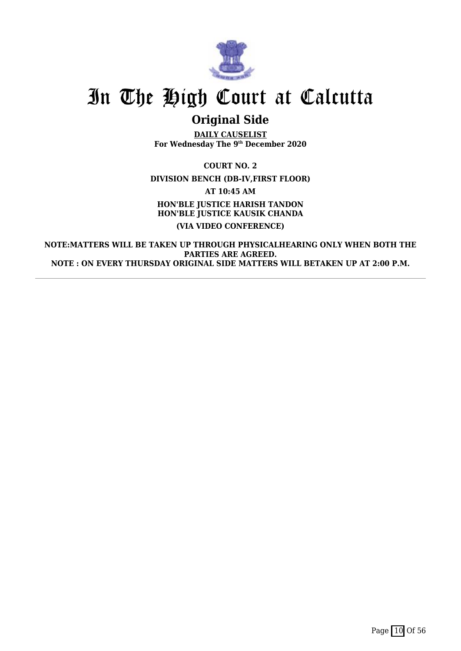

## **Original Side**

**DAILY CAUSELIST For Wednesday The 9th December 2020**

**COURT NO. 2 DIVISION BENCH (DB-IV,FIRST FLOOR) AT 10:45 AM HON'BLE JUSTICE HARISH TANDON HON'BLE JUSTICE KAUSIK CHANDA (VIA VIDEO CONFERENCE)**

**NOTE:MATTERS WILL BE TAKEN UP THROUGH PHYSICALHEARING ONLY WHEN BOTH THE PARTIES ARE AGREED. NOTE : ON EVERY THURSDAY ORIGINAL SIDE MATTERS WILL BETAKEN UP AT 2:00 P.M.**

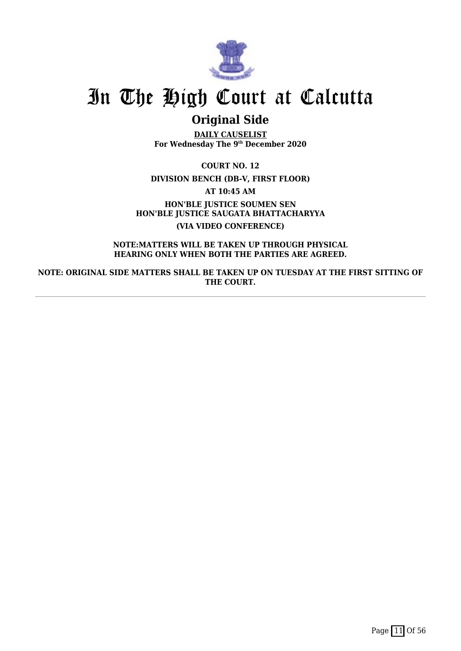

## **Original Side**

**DAILY CAUSELIST For Wednesday The 9th December 2020**

**COURT NO. 12 DIVISION BENCH (DB-V, FIRST FLOOR) AT 10:45 AM HON'BLE JUSTICE SOUMEN SEN HON'BLE JUSTICE SAUGATA BHATTACHARYYA (VIA VIDEO CONFERENCE)**

**NOTE:MATTERS WILL BE TAKEN UP THROUGH PHYSICAL HEARING ONLY WHEN BOTH THE PARTIES ARE AGREED.**

**NOTE: ORIGINAL SIDE MATTERS SHALL BE TAKEN UP ON TUESDAY AT THE FIRST SITTING OF THE COURT.**

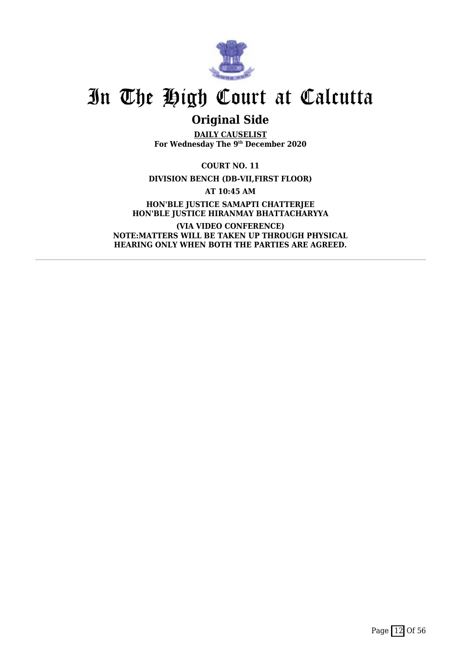

## **Original Side**

**DAILY CAUSELIST For Wednesday The 9th December 2020**

**COURT NO. 11**

**DIVISION BENCH (DB-VII,FIRST FLOOR)**

**AT 10:45 AM**

**HON'BLE JUSTICE SAMAPTI CHATTERJEE HON'BLE JUSTICE HIRANMAY BHATTACHARYYA**

**(VIA VIDEO CONFERENCE) NOTE:MATTERS WILL BE TAKEN UP THROUGH PHYSICAL HEARING ONLY WHEN BOTH THE PARTIES ARE AGREED.**

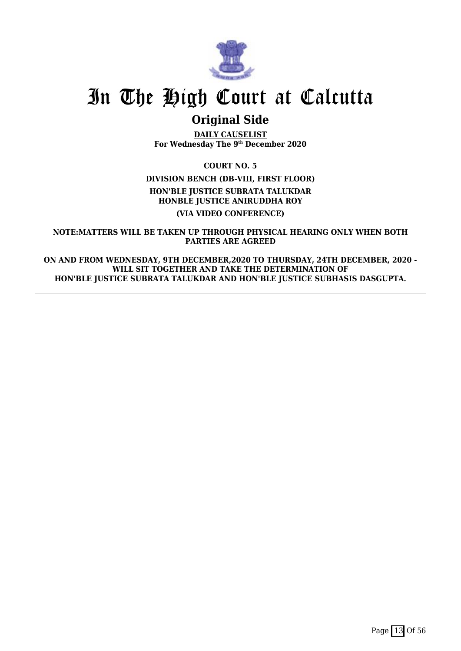

## **Original Side**

**DAILY CAUSELIST For Wednesday The 9th December 2020**

**COURT NO. 5**

**DIVISION BENCH (DB-VIII, FIRST FLOOR)**

**HON'BLE JUSTICE SUBRATA TALUKDAR HONBLE JUSTICE ANIRUDDHA ROY**

**(VIA VIDEO CONFERENCE)**

**NOTE:MATTERS WILL BE TAKEN UP THROUGH PHYSICAL HEARING ONLY WHEN BOTH PARTIES ARE AGREED**

**ON AND FROM WEDNESDAY, 9TH DECEMBER,2020 TO THURSDAY, 24TH DECEMBER, 2020 - WILL SIT TOGETHER AND TAKE THE DETERMINATION OF HON'BLE JUSTICE SUBRATA TALUKDAR AND HON'BLE JUSTICE SUBHASIS DASGUPTA.**

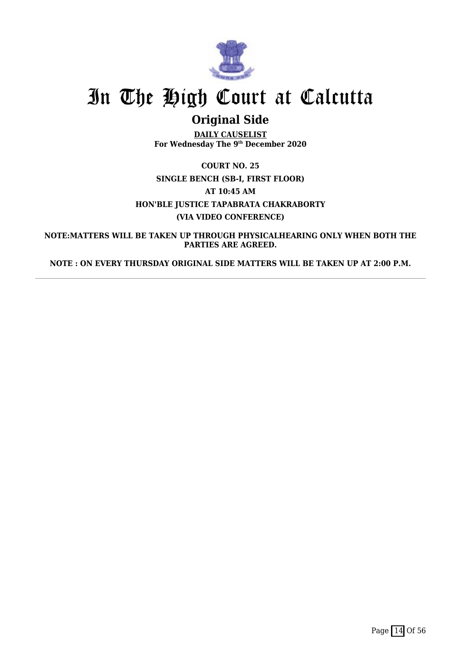

## **Original Side**

**DAILY CAUSELIST For Wednesday The 9th December 2020**

**COURT NO. 25 SINGLE BENCH (SB-I, FIRST FLOOR) AT 10:45 AM HON'BLE JUSTICE TAPABRATA CHAKRABORTY (VIA VIDEO CONFERENCE)**

**NOTE:MATTERS WILL BE TAKEN UP THROUGH PHYSICALHEARING ONLY WHEN BOTH THE PARTIES ARE AGREED.**

**NOTE : ON EVERY THURSDAY ORIGINAL SIDE MATTERS WILL BE TAKEN UP AT 2:00 P.M.**

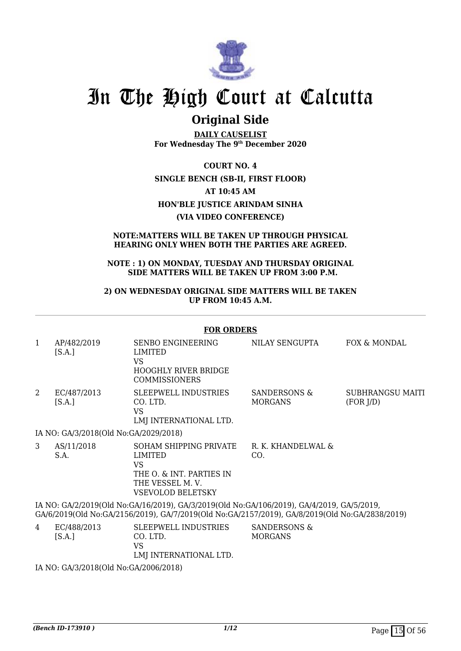

### **Original Side**

**DAILY CAUSELIST For Wednesday The 9th December 2020**

**COURT NO. 4 SINGLE BENCH (SB-II, FIRST FLOOR) AT 10:45 AM HON'BLE JUSTICE ARINDAM SINHA (VIA VIDEO CONFERENCE)**

### **NOTE:MATTERS WILL BE TAKEN UP THROUGH PHYSICAL HEARING ONLY WHEN BOTH THE PARTIES ARE AGREED.**

### **NOTE : 1) ON MONDAY, TUESDAY AND THURSDAY ORIGINAL SIDE MATTERS WILL BE TAKEN UP FROM 3:00 P.M.**

### **2) ON WEDNESDAY ORIGINAL SIDE MATTERS WILL BE TAKEN UP FROM 10:45 A.M.**

#### **FOR ORDERS**

| 1 | AP/482/2019<br>[S.A.]                                                                                                                                                                       | <b>SENBO ENGINEERING</b><br>LIMITED<br><b>VS</b><br><b>HOOGHLY RIVER BRIDGE</b><br><b>COMMISSIONERS</b>                          | NILAY SENGUPTA                 | FOX & MONDAL                  |  |
|---|---------------------------------------------------------------------------------------------------------------------------------------------------------------------------------------------|----------------------------------------------------------------------------------------------------------------------------------|--------------------------------|-------------------------------|--|
| 2 | EC/487/2013<br>[S.A.]                                                                                                                                                                       | <b>SLEEPWELL INDUSTRIES</b><br>CO. LTD.<br>VS.<br>LMJ INTERNATIONAL LTD.                                                         | SANDERSONS &<br><b>MORGANS</b> | SUBHRANGSU MAITI<br>(FOR J/D) |  |
|   | IA NO: GA/3/2018(Old No:GA/2029/2018)                                                                                                                                                       |                                                                                                                                  |                                |                               |  |
| 3 | AS/11/2018<br>S.A.                                                                                                                                                                          | SOHAM SHIPPING PRIVATE<br><b>LIMITED</b><br><b>VS</b><br>THE O. & INT. PARTIES IN<br>THE VESSEL M.V.<br><b>VSEVOLOD BELETSKY</b> | R. K. KHANDELWAL &<br>CO.      |                               |  |
|   | IA NO: GA/2/2019(Old No:GA/16/2019), GA/3/2019(Old No:GA/106/2019), GA/4/2019, GA/5/2019,<br>GA/6/2019(Old No:GA/2156/2019), GA/7/2019(Old No:GA/2157/2019), GA/8/2019(Old No:GA/2838/2019) |                                                                                                                                  |                                |                               |  |
| 4 | EC/488/2013<br>[S.A.]                                                                                                                                                                       | <b>SLEEPWELL INDUSTRIES</b><br>CO. LTD.<br><b>VS</b><br>LMJ INTERNATIONAL LTD.                                                   | SANDERSONS &<br><b>MORGANS</b> |                               |  |
|   | IA NO: $C\Lambda/3/2018$ (Old No: $C\Lambda/2006/2018$ )                                                                                                                                    |                                                                                                                                  |                                |                               |  |

IA NO: GA/3/2018(Old No:GA/2006/2018)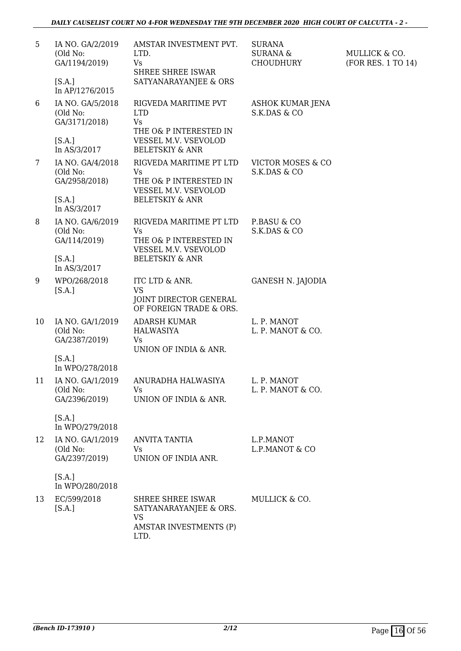| 5  | IA NO. GA/2/2019<br>(Old No:<br>GA/1194/2019)<br>[S.A.]                 | AMSTAR INVESTMENT PVT.<br>LTD.<br><b>Vs</b><br>SHREE SHREE ISWAR<br>SATYANARAYANJEE & ORS                                       | <b>SURANA</b><br><b>SURANA &amp;</b><br><b>CHOUDHURY</b> | MULLICK & CO.<br>(FOR RES. 1 TO 14) |
|----|-------------------------------------------------------------------------|---------------------------------------------------------------------------------------------------------------------------------|----------------------------------------------------------|-------------------------------------|
|    | In AP/1276/2015                                                         |                                                                                                                                 |                                                          |                                     |
| 6  | IA NO. GA/5/2018<br>(Old No:<br>GA/3171/2018)<br>[S.A.]<br>In AS/3/2017 | RIGVEDA MARITIME PVT<br><b>LTD</b><br><b>Vs</b><br>THE O& P INTERESTED IN<br>VESSEL M.V. VSEVOLOD<br><b>BELETSKIY &amp; ANR</b> | ASHOK KUMAR JENA<br>S.K.DAS & CO                         |                                     |
| 7  | IA NO. GA/4/2018                                                        | RIGVEDA MARITIME PT LTD                                                                                                         | <b>VICTOR MOSES &amp; CO</b>                             |                                     |
|    | (Old No:<br>GA/2958/2018)                                               | <b>Vs</b><br>THE O& P INTERESTED IN<br>VESSEL M.V. VSEVOLOD                                                                     | S.K.DAS & CO                                             |                                     |
|    | [S.A.]<br>In AS/3/2017                                                  | <b>BELETSKIY &amp; ANR</b>                                                                                                      |                                                          |                                     |
| 8  | IA NO. GA/6/2019<br>(Old No:<br>GA/114/2019)                            | RIGVEDA MARITIME PT LTD<br><b>Vs</b><br>THE O& P INTERESTED IN<br>VESSEL M.V. VSEVOLOD                                          | P.BASU & CO<br>S.K.DAS & CO                              |                                     |
|    | [S.A.]<br>In AS/3/2017                                                  | <b>BELETSKIY &amp; ANR</b>                                                                                                      |                                                          |                                     |
| 9  | WPO/268/2018<br>[S.A.]                                                  | ITC LTD & ANR.<br><b>VS</b><br>JOINT DIRECTOR GENERAL<br>OF FOREIGN TRADE & ORS.                                                | <b>GANESH N. JAJODIA</b>                                 |                                     |
| 10 | IA NO. GA/1/2019<br>(Old No:<br>GA/2387/2019)                           | <b>ADARSH KUMAR</b><br><b>HALWASIYA</b><br>Vs<br>UNION OF INDIA & ANR.                                                          | L. P. MANOT<br>L. P. MANOT & CO.                         |                                     |
|    | [S.A.]<br>In WPO/278/2018                                               |                                                                                                                                 |                                                          |                                     |
| 11 | IA NO. GA/1/2019<br>(Old No:<br>GA/2396/2019)                           | ANURADHA HALWASIYA<br>Vs<br>UNION OF INDIA & ANR.                                                                               | L. P. MANOT<br>L. P. MANOT & CO.                         |                                     |
|    | [S.A.]<br>In WPO/279/2018                                               |                                                                                                                                 |                                                          |                                     |
| 12 | IA NO. GA/1/2019<br>(Old No:<br>GA/2397/2019)                           | ANVITA TANTIA<br>Vs<br>UNION OF INDIA ANR.                                                                                      | L.P.MANOT<br>L.P.MANOT & CO                              |                                     |
|    | [S.A.]<br>In WPO/280/2018                                               |                                                                                                                                 |                                                          |                                     |
| 13 | EC/599/2018<br>[S.A.]                                                   | SHREE SHREE ISWAR<br>SATYANARAYANJEE & ORS.<br><b>VS</b><br><b>AMSTAR INVESTMENTS (P)</b><br>LTD.                               | MULLICK & CO.                                            |                                     |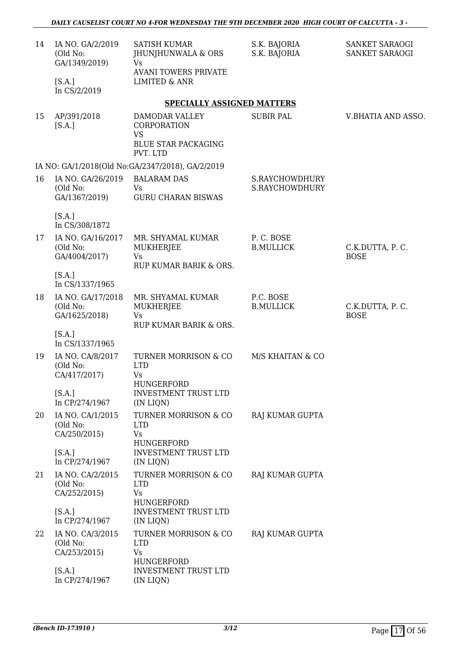| 14 | IA NO. GA/2/2019<br>(Old No:<br>GA/1349/2019)  | <b>SATISH KUMAR</b><br>JHUNJHUNWALA & ORS<br><b>Vs</b>                       | S.K. BAJORIA<br>S.K. BAJORIA     | SANKET SARAOGI<br>SANKET SARAOGI |
|----|------------------------------------------------|------------------------------------------------------------------------------|----------------------------------|----------------------------------|
|    | [S.A.]<br>In CS/2/2019                         | <b>AVANI TOWERS PRIVATE</b><br><b>LIMITED &amp; ANR</b>                      |                                  |                                  |
|    |                                                | <b>SPECIALLY ASSIGNED MATTERS</b>                                            |                                  |                                  |
| 15 | AP/391/2018<br>[S.A.]                          | DAMODAR VALLEY<br>CORPORATION<br><b>VS</b><br><b>BLUE STAR PACKAGING</b>     | <b>SUBIR PAL</b>                 | V.BHATIA AND ASSO.               |
|    |                                                | PVT. LTD<br>IA NO: GA/1/2018(Old No:GA/2347/2018), GA/2/2019                 |                                  |                                  |
| 16 | IA NO. GA/26/2019<br>(Old No:<br>GA/1367/2019) | <b>BALARAM DAS</b><br><b>Vs</b><br><b>GURU CHARAN BISWAS</b>                 | S.RAYCHOWDHURY<br>S.RAYCHOWDHURY |                                  |
|    | [S.A.]<br>In CS/308/1872                       |                                                                              |                                  |                                  |
| 17 | IA NO. GA/16/2017<br>(Old No:<br>GA/4004/2017) | MR. SHYAMAL KUMAR<br><b>MUKHERJEE</b><br>Vs<br>RUP KUMAR BARIK & ORS.        | P.C. BOSE<br><b>B.MULLICK</b>    | C.K.DUTTA, P.C.<br><b>BOSE</b>   |
|    | [S.A.]<br>In CS/1337/1965                      |                                                                              |                                  |                                  |
| 18 | IA NO. GA/17/2018<br>(Old No:<br>GA/1625/2018) | MR. SHYAMAL KUMAR<br><b>MUKHERJEE</b><br><b>Vs</b><br>RUP KUMAR BARIK & ORS. | P.C. BOSE<br><b>B.MULLICK</b>    | C.K.DUTTA, P.C.<br><b>BOSE</b>   |
|    | [S.A.]<br>In CS/1337/1965                      |                                                                              |                                  |                                  |
| 19 | IA NO. CA/8/2017<br>(Old No:<br>CA/417/2017)   | TURNER MORRISON & CO<br><b>LTD</b><br>Vs<br>HUNGERFORD                       | M/S KHAITAN & CO                 |                                  |
|    | [S.A.]<br>In CP/274/1967                       | <b>INVESTMENT TRUST LTD</b><br>(IN LIQN)                                     |                                  |                                  |
| 20 | IA NO. CA/1/2015<br>(Old No:<br>CA/250/2015)   | TURNER MORRISON & CO<br><b>LTD</b><br><b>Vs</b>                              | <b>RAJ KUMAR GUPTA</b>           |                                  |
|    | [S.A.]<br>In CP/274/1967                       | <b>HUNGERFORD</b><br><b>INVESTMENT TRUST LTD</b><br>(IN LIQN)                |                                  |                                  |
| 21 | IA NO. CA/2/2015<br>(Old No:<br>CA/252/2015)   | <b>TURNER MORRISON &amp; CO</b><br><b>LTD</b><br><b>Vs</b><br>HUNGERFORD     | RAJ KUMAR GUPTA                  |                                  |
|    | [S.A.]<br>In CP/274/1967                       | <b>INVESTMENT TRUST LTD</b><br>(IN LIQN)                                     |                                  |                                  |
| 22 | IA NO. CA/3/2015<br>(Old No:<br>CA/253/2015)   | TURNER MORRISON & CO<br><b>LTD</b><br><b>Vs</b><br>HUNGERFORD                | RAJ KUMAR GUPTA                  |                                  |
|    | [S.A.]<br>In CP/274/1967                       | <b>INVESTMENT TRUST LTD</b><br>(IN LIQN)                                     |                                  |                                  |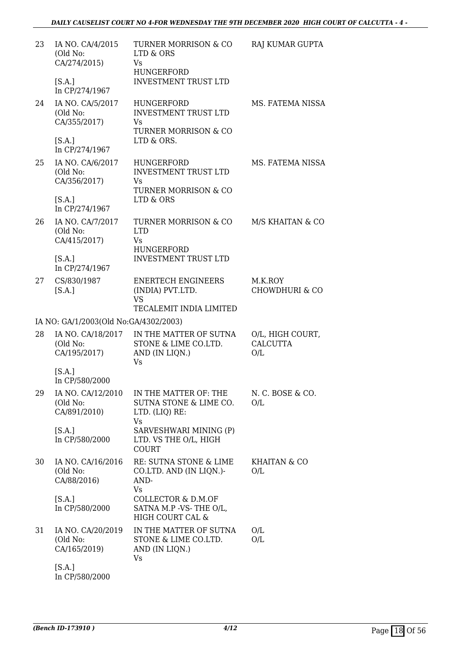| 23 | IA NO. CA/4/2015<br>(Old No:<br>CA/274/2015)<br>[S.A.]         | TURNER MORRISON & CO<br>LTD & ORS<br>Vs<br>HUNGERFORD<br><b>INVESTMENT TRUST LTD</b>                    | RAJ KUMAR GUPTA                            |
|----|----------------------------------------------------------------|---------------------------------------------------------------------------------------------------------|--------------------------------------------|
| 24 | In CP/274/1967<br>IA NO. CA/5/2017<br>(Old No:<br>CA/355/2017) | HUNGERFORD<br><b>INVESTMENT TRUST LTD</b><br>Vs<br>TURNER MORRISON & CO                                 | MS. FATEMA NISSA                           |
|    | [S.A.]<br>In CP/274/1967                                       | LTD & ORS.                                                                                              |                                            |
| 25 | IA NO. CA/6/2017<br>(Old No:<br>CA/356/2017)                   | <b>HUNGERFORD</b><br><b>INVESTMENT TRUST LTD</b><br>Vs<br>TURNER MORRISON & CO                          | MS. FATEMA NISSA                           |
|    | [S.A.]<br>In CP/274/1967                                       | LTD & ORS                                                                                               |                                            |
| 26 | IA NO. CA/7/2017<br>(Old No:<br>CA/415/2017)<br>[S.A.]         | <b>TURNER MORRISON &amp; CO</b><br><b>LTD</b><br>Vs<br><b>HUNGERFORD</b><br><b>INVESTMENT TRUST LTD</b> | M/S KHAITAN & CO                           |
| 27 | In CP/274/1967<br>CS/830/1987                                  | <b>ENERTECH ENGINEERS</b>                                                                               | M.K.ROY                                    |
|    | [S.A.]                                                         | (INDIA) PVT.LTD.<br><b>VS</b><br>TECALEMIT INDIA LIMITED                                                | <b>CHOWDHURI &amp; CO</b>                  |
|    | IA NO: GA/1/2003(Old No:GA/4302/2003)                          |                                                                                                         |                                            |
| 28 | IA NO. CA/18/2017<br>(Old No:<br>CA/195/2017)                  | IN THE MATTER OF SUTNA<br>STONE & LIME CO.LTD.<br>AND (IN LIQN.)<br><b>Vs</b>                           | O/L, HIGH COURT,<br><b>CALCUTTA</b><br>O/L |
|    | [S.A.]<br>In CP/580/2000                                       |                                                                                                         |                                            |
| 29 | IA NO. CA/12/2010<br>(Old No:<br>CA/891/2010)                  | IN THE MATTER OF: THE<br>SUTNA STONE & LIME CO.<br>LTD. (LIQ) RE:<br>Vs                                 | N. C. BOSE & CO.<br>O/L                    |
|    | [S.A.]<br>In CP/580/2000                                       | SARVESHWARI MINING (P)<br>LTD. VS THE O/L, HIGH<br><b>COURT</b>                                         |                                            |
| 30 | IA NO. CA/16/2016<br>(Old No:<br>CA/88/2016)                   | RE: SUTNA STONE & LIME<br>CO.LTD. AND (IN LIQN.)-<br>AND-<br>Vs                                         | KHAITAN & CO<br>O/L                        |
|    | [S.A.]<br>In CP/580/2000                                       | COLLECTOR & D.M.OF<br>SATNA M.P -VS-THE O/L,<br>HIGH COURT CAL &                                        |                                            |
| 31 | IA NO. CA/20/2019<br>(Old No:<br>CA/165/2019)                  | IN THE MATTER OF SUTNA<br>STONE & LIME CO.LTD.<br>AND (IN LIQN.)<br>Vs                                  | O/L<br>O/L                                 |
|    | [S.A.]<br>In CP/580/2000                                       |                                                                                                         |                                            |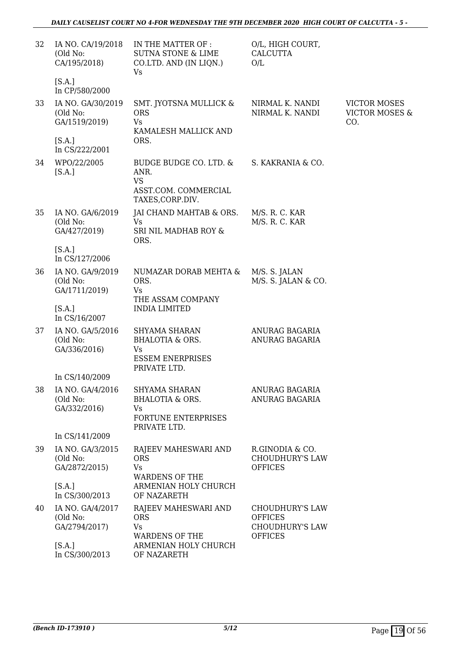| 32 | IA NO. CA/19/2018<br>(Old No:<br>CA/195/2018)<br>[S.A.] | IN THE MATTER OF :<br><b>SUTNA STONE &amp; LIME</b><br>CO.LTD. AND (IN LIQN.)<br>Vs          | O/L, HIGH COURT,<br><b>CALCUTTA</b><br>O/L                                           |                                                         |
|----|---------------------------------------------------------|----------------------------------------------------------------------------------------------|--------------------------------------------------------------------------------------|---------------------------------------------------------|
|    | In CP/580/2000                                          |                                                                                              |                                                                                      |                                                         |
| 33 | IA NO. GA/30/2019<br>(Old No:<br>GA/1519/2019)          | SMT. JYOTSNA MULLICK &<br><b>ORS</b><br><b>Vs</b><br>KAMALESH MALLICK AND                    | NIRMAL K. NANDI<br>NIRMAL K. NANDI                                                   | <b>VICTOR MOSES</b><br><b>VICTOR MOSES &amp;</b><br>CO. |
|    | [S.A.]<br>In CS/222/2001                                | ORS.                                                                                         |                                                                                      |                                                         |
| 34 | WPO/22/2005<br>[S.A.]                                   | BUDGE BUDGE CO. LTD. &<br>ANR.<br><b>VS</b><br>ASST.COM. COMMERCIAL<br>TAXES, CORP.DIV.      | S. KAKRANIA & CO.                                                                    |                                                         |
| 35 | IA NO. GA/6/2019<br>(Old No:<br>GA/427/2019)            | JAI CHAND MAHTAB & ORS.<br><b>Vs</b><br>SRI NIL MADHAB ROY &                                 | M/S. R. C. KAR<br>M/S. R. C. KAR                                                     |                                                         |
|    | [S.A.]<br>In CS/127/2006                                | ORS.                                                                                         |                                                                                      |                                                         |
| 36 | IA NO. GA/9/2019<br>(Old No:<br>GA/1711/2019)           | NUMAZAR DORAB MEHTA &<br>ORS.<br>Vs<br>THE ASSAM COMPANY                                     | M/S. S. JALAN<br>M/S. S. JALAN & CO.                                                 |                                                         |
|    | [S.A.]<br>In CS/16/2007                                 | <b>INDIA LIMITED</b>                                                                         |                                                                                      |                                                         |
| 37 | IA NO. GA/5/2016<br>(Old No:<br>GA/336/2016)            | SHYAMA SHARAN<br><b>BHALOTIA &amp; ORS.</b><br>Vs<br><b>ESSEM ENERPRISES</b><br>PRIVATE LTD. | ANURAG BAGARIA<br>ANURAG BAGARIA                                                     |                                                         |
|    | In CS/140/2009                                          |                                                                                              |                                                                                      |                                                         |
| 38 | IA NO. GA/4/2016<br>(Old No:<br>GA/332/2016)            | SHYAMA SHARAN<br>BHALOTIA & ORS.<br>Vs<br>FORTUNE ENTERPRISES<br>PRIVATE LTD.                | ANURAG BAGARIA<br>ANURAG BAGARIA                                                     |                                                         |
|    | In CS/141/2009                                          |                                                                                              |                                                                                      |                                                         |
| 39 | IA NO. GA/3/2015<br>(Old No:<br>GA/2872/2015)           | RAJEEV MAHESWARI AND<br><b>ORS</b><br><b>Vs</b><br><b>WARDENS OF THE</b>                     | R.GINODIA & CO.<br><b>CHOUDHURY'S LAW</b><br><b>OFFICES</b>                          |                                                         |
|    | [S.A.]<br>In CS/300/2013                                | ARMENIAN HOLY CHURCH<br>OF NAZARETH                                                          |                                                                                      |                                                         |
| 40 | IA NO. GA/4/2017<br>(Old No:<br>GA/2794/2017)           | RAJEEV MAHESWARI AND<br><b>ORS</b><br>Vs<br><b>WARDENS OF THE</b>                            | <b>CHOUDHURY'S LAW</b><br><b>OFFICES</b><br><b>CHOUDHURY'S LAW</b><br><b>OFFICES</b> |                                                         |
|    | [S.A.]<br>In CS/300/2013                                | ARMENIAN HOLY CHURCH<br>OF NAZARETH                                                          |                                                                                      |                                                         |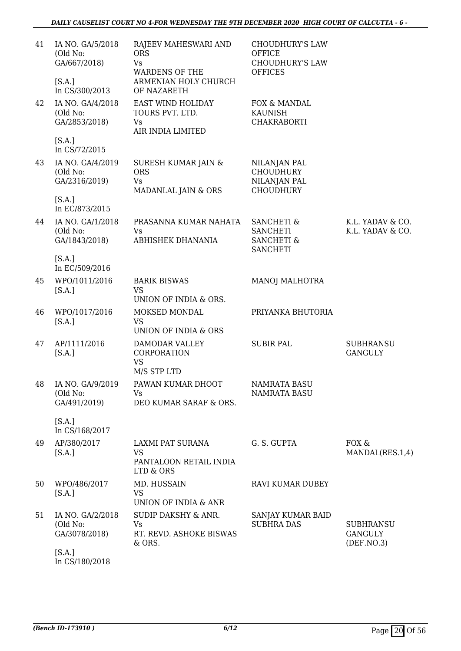| 41 | IA NO. GA/5/2018<br>(Old No:<br>GA/667/2018)    | RAJEEV MAHESWARI AND<br><b>ORS</b><br><b>Vs</b><br><b>WARDENS OF THE</b>  | <b>CHOUDHURY'S LAW</b><br><b>OFFICE</b><br><b>CHOUDHURY'S LAW</b><br><b>OFFICES</b>  |                                                    |
|----|-------------------------------------------------|---------------------------------------------------------------------------|--------------------------------------------------------------------------------------|----------------------------------------------------|
|    | [S.A.]<br>In CS/300/2013                        | ARMENIAN HOLY CHURCH<br>OF NAZARETH                                       |                                                                                      |                                                    |
| 42 | IA NO. GA/4/2018<br>(Old No:<br>GA/2853/2018)   | EAST WIND HOLIDAY<br>TOURS PVT. LTD.<br>Vs<br>AIR INDIA LIMITED           | FOX & MANDAL<br><b>KAUNISH</b><br><b>CHAKRABORTI</b>                                 |                                                    |
|    | [S.A.]<br>In CS/72/2015                         |                                                                           |                                                                                      |                                                    |
| 43 | IA NO. GA/4/2019<br>(Old No:<br>GA/2316/2019)   | SURESH KUMAR JAIN &<br><b>ORS</b><br><b>Vs</b><br>MADANLAL JAIN & ORS     | NILANJAN PAL<br><b>CHOUDHURY</b><br>NILANJAN PAL<br><b>CHOUDHURY</b>                 |                                                    |
|    | [S.A.]<br>In EC/873/2015                        |                                                                           |                                                                                      |                                                    |
| 44 | IA NO. GA/1/2018<br>(Old No:<br>GA/1843/2018)   | PRASANNA KUMAR NAHATA<br>Vs<br>ABHISHEK DHANANIA                          | <b>SANCHETI &amp;</b><br><b>SANCHETI</b><br><b>SANCHETI &amp;</b><br><b>SANCHETI</b> | K.L. YADAV & CO.<br>K.L. YADAV & CO.               |
|    | [S.A.]<br>In EC/509/2016                        |                                                                           |                                                                                      |                                                    |
| 45 | WPO/1011/2016<br>[S.A.]                         | <b>BARIK BISWAS</b><br><b>VS</b><br>UNION OF INDIA & ORS.                 | <b>MANOJ MALHOTRA</b>                                                                |                                                    |
| 46 | WPO/1017/2016<br>[S.A.]                         | MOKSED MONDAL<br><b>VS</b><br>UNION OF INDIA & ORS                        | PRIYANKA BHUTORIA                                                                    |                                                    |
| 47 | AP/1111/2016<br>[S.A.]                          | <b>DAMODAR VALLEY</b><br>CORPORATION<br><b>VS</b><br>M/S STP LTD          | <b>SUBIR PAL</b>                                                                     | <b>SUBHRANSU</b><br><b>GANGULY</b>                 |
|    | 48 IA NO. GA/9/2019<br>(Old No:<br>GA/491/2019) | PAWAN KUMAR DHOOT<br>Vs<br>DEO KUMAR SARAF & ORS.                         | <b>NAMRATA BASU</b><br><b>NAMRATA BASU</b>                                           |                                                    |
|    | [S.A.]<br>In CS/168/2017                        |                                                                           |                                                                                      |                                                    |
| 49 | AP/380/2017<br>[S.A.]                           | LAXMI PAT SURANA<br><b>VS</b><br>PANTALOON RETAIL INDIA<br>LTD & ORS      | G. S. GUPTA                                                                          | FOX &<br>MANDAL(RES.1,4)                           |
| 50 | WPO/486/2017<br>[S.A.]                          | MD. HUSSAIN<br><b>VS</b><br>UNION OF INDIA & ANR                          | RAVI KUMAR DUBEY                                                                     |                                                    |
| 51 | IA NO. GA/2/2018<br>(Old No:<br>GA/3078/2018)   | <b>SUDIP DAKSHY &amp; ANR.</b><br>Vs<br>RT. REVD. ASHOKE BISWAS<br>& ORS. | SANJAY KUMAR BAID<br><b>SUBHRA DAS</b>                                               | <b>SUBHRANSU</b><br><b>GANGULY</b><br>(DEF. NO. 3) |
|    | [S.A.]<br>In CS/180/2018                        |                                                                           |                                                                                      |                                                    |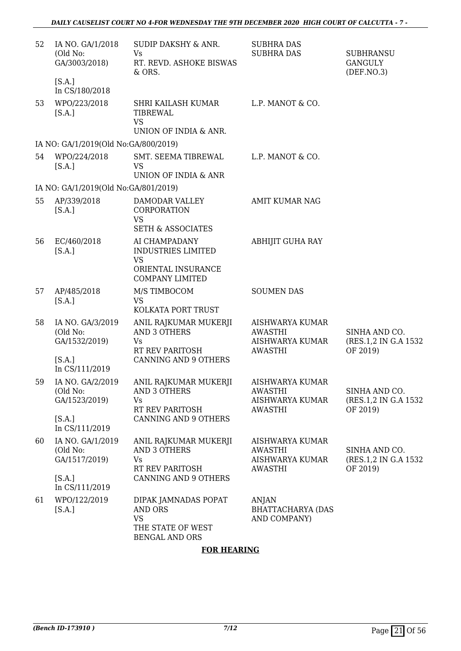| 52 | IA NO. GA/1/2018<br>(Old No:<br>GA/3003/2018)           | <b>SUDIP DAKSHY &amp; ANR.</b><br>Vs<br>RT. REVD. ASHOKE BISWAS<br>& ORS.                               | <b>SUBHRA DAS</b><br><b>SUBHRA DAS</b>                                 | <b>SUBHRANSU</b><br><b>GANGULY</b><br>(DEF. NO. 3) |
|----|---------------------------------------------------------|---------------------------------------------------------------------------------------------------------|------------------------------------------------------------------------|----------------------------------------------------|
|    | [S.A.]<br>In CS/180/2018                                |                                                                                                         |                                                                        |                                                    |
| 53 | WPO/223/2018<br>[S.A.]                                  | SHRI KAILASH KUMAR<br>TIBREWAL<br><b>VS</b>                                                             | L.P. MANOT & CO.                                                       |                                                    |
|    |                                                         | UNION OF INDIA & ANR.                                                                                   |                                                                        |                                                    |
|    | IA NO: GA/1/2019(Old No:GA/800/2019)                    |                                                                                                         |                                                                        |                                                    |
| 54 | WPO/224/2018<br>[S.A.]                                  | SMT. SEEMA TIBREWAL<br><b>VS</b><br>UNION OF INDIA & ANR                                                | L.P. MANOT & CO.                                                       |                                                    |
|    | IA NO: GA/1/2019(Old No:GA/801/2019)                    |                                                                                                         |                                                                        |                                                    |
| 55 | AP/339/2018<br>[S.A.]                                   | DAMODAR VALLEY<br>CORPORATION<br><b>VS</b><br><b>SETH &amp; ASSOCIATES</b>                              | <b>AMIT KUMAR NAG</b>                                                  |                                                    |
| 56 | EC/460/2018<br>[S.A.]                                   | AI CHAMPADANY<br><b>INDUSTRIES LIMITED</b><br><b>VS</b><br>ORIENTAL INSURANCE<br><b>COMPANY LIMITED</b> | <b>ABHIJIT GUHA RAY</b>                                                |                                                    |
| 57 | AP/485/2018<br>[S.A.]                                   | M/S TIMBOCOM<br><b>VS</b><br>KOLKATA PORT TRUST                                                         | <b>SOUMEN DAS</b>                                                      |                                                    |
| 58 | IA NO. GA/3/2019<br>(Old No:<br>GA/1532/2019)           | ANIL RAJKUMAR MUKERJI<br><b>AND 3 OTHERS</b><br>Vs<br>RT REV PARITOSH                                   | AISHWARYA KUMAR<br>AWASTHI<br>AISHWARYA KUMAR<br>AWASTHI               | SINHA AND CO.<br>(RES.1,2 IN G.A 1532<br>OF 2019)  |
|    | [S.A.]<br>In CS/111/2019                                | <b>CANNING AND 9 OTHERS</b>                                                                             |                                                                        |                                                    |
| 59 | IA NO. GA/2/2019<br>(Old No:<br>GA/1523/2019)           | ANIL RAJKUMAR MUKERJI<br><b>AND 3 OTHERS</b><br>Vs<br>RT REV PARITOSH                                   | AISHWARYA KUMAR<br><b>AWASTHI</b><br>AISHWARYA KUMAR<br><b>AWASTHI</b> | SINHA AND CO.<br>(RES.1,2 IN G.A 1532<br>OF 2019)  |
|    | [S.A.]<br>In CS/111/2019                                | CANNING AND 9 OTHERS                                                                                    |                                                                        |                                                    |
| 60 | IA NO. GA/1/2019<br>(Old No:<br>GA/1517/2019)<br>[S.A.] | ANIL RAJKUMAR MUKERJI<br><b>AND 3 OTHERS</b><br>Vs<br>RT REV PARITOSH<br>CANNING AND 9 OTHERS           | AISHWARYA KUMAR<br><b>AWASTHI</b><br>AISHWARYA KUMAR<br><b>AWASTHI</b> | SINHA AND CO.<br>(RES.1,2 IN G.A 1532)<br>OF 2019) |
|    | In CS/111/2019                                          |                                                                                                         |                                                                        |                                                    |
| 61 | WPO/122/2019<br>[S.A.]                                  | DIPAK JAMNADAS POPAT<br><b>AND ORS</b><br><b>VS</b><br>THE STATE OF WEST<br><b>BENGAL AND ORS</b>       | ANJAN<br><b>BHATTACHARYA (DAS</b><br>AND COMPANY)                      |                                                    |

### **FOR HEARING**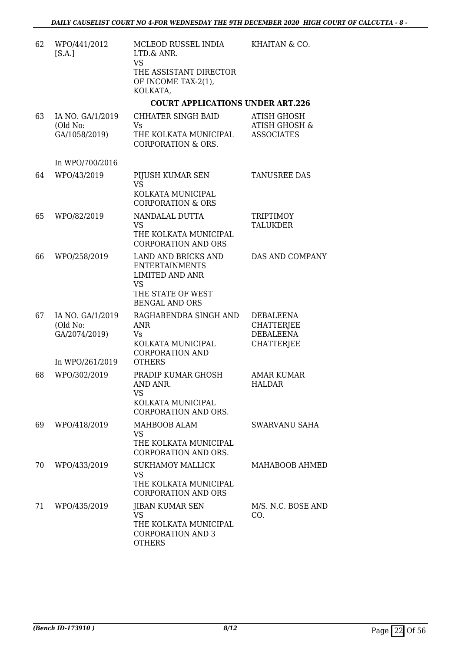| 62 | WPO/441/2012<br>[S.A.]                                           | MCLEOD RUSSEL INDIA<br>LTD.& ANR.<br><b>VS</b><br>THE ASSISTANT DIRECTOR<br>OF INCOME TAX-2(1),<br>KOLKATA,                       | KHAITAN & CO.                                                                  |
|----|------------------------------------------------------------------|-----------------------------------------------------------------------------------------------------------------------------------|--------------------------------------------------------------------------------|
|    |                                                                  | <b>COURT APPLICATIONS UNDER ART.226</b>                                                                                           |                                                                                |
| 63 | IA NO. GA/1/2019<br>(Old No:<br>GA/1058/2019)                    | CHHATER SINGH BAID<br>Vs<br>THE KOLKATA MUNICIPAL<br>CORPORATION & ORS.                                                           | <b>ATISH GHOSH</b><br><b>ATISH GHOSH &amp;</b><br><b>ASSOCIATES</b>            |
|    | In WPO/700/2016                                                  |                                                                                                                                   |                                                                                |
| 64 | WPO/43/2019                                                      | PIJUSH KUMAR SEN<br><b>VS</b><br>KOLKATA MUNICIPAL<br><b>CORPORATION &amp; ORS</b>                                                | TANUSREE DAS                                                                   |
| 65 | WPO/82/2019                                                      | NANDALAL DUTTA<br><b>VS</b><br>THE KOLKATA MUNICIPAL<br><b>CORPORATION AND ORS</b>                                                | <b>TRIPTIMOY</b><br><b>TALUKDER</b>                                            |
| 66 | WPO/258/2019                                                     | LAND AND BRICKS AND<br><b>ENTERTAINMENTS</b><br><b>LIMITED AND ANR</b><br><b>VS</b><br>THE STATE OF WEST<br><b>BENGAL AND ORS</b> | DAS AND COMPANY                                                                |
| 67 | IA NO. GA/1/2019<br>(Old No:<br>GA/2074/2019)<br>In WPO/261/2019 | RAGHABENDRA SINGH AND<br>ANR<br>Vs<br>KOLKATA MUNICIPAL<br><b>CORPORATION AND</b><br><b>OTHERS</b>                                | <b>DEBALEENA</b><br><b>CHATTERJEE</b><br><b>DEBALEENA</b><br><b>CHATTERJEE</b> |
| 68 | WPO/302/2019                                                     | PRADIP KUMAR GHOSH<br>AND ANR.<br>VS<br>KOLKATA MUNICIPAL<br><b>CORPORATION AND ORS.</b>                                          | <b>AMAR KUMAR</b><br><b>HALDAR</b>                                             |
| 69 | WPO/418/2019                                                     | MAHBOOB ALAM<br>VS<br>THE KOLKATA MUNICIPAL<br>CORPORATION AND ORS.                                                               | SWARVANU SAHA                                                                  |
| 70 | WPO/433/2019                                                     | <b>SUKHAMOY MALLICK</b><br><b>VS</b><br>THE KOLKATA MUNICIPAL<br><b>CORPORATION AND ORS</b>                                       | MAHABOOB AHMED                                                                 |
| 71 | WPO/435/2019                                                     | <b>JIBAN KUMAR SEN</b><br><b>VS</b><br>THE KOLKATA MUNICIPAL<br><b>CORPORATION AND 3</b><br><b>OTHERS</b>                         | M/S. N.C. BOSE AND<br>CO.                                                      |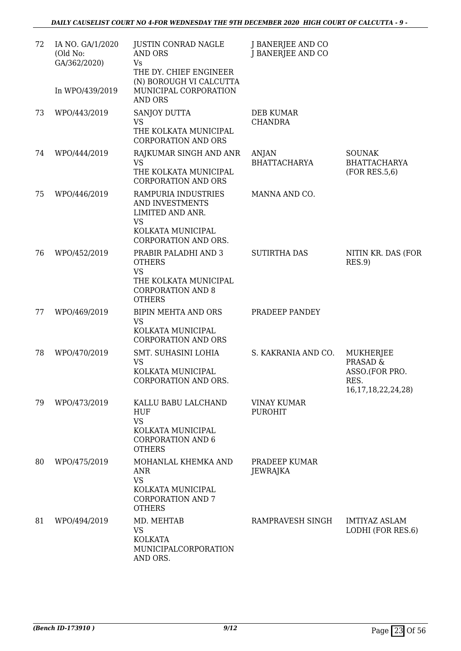| 72 | IA NO. GA/1/2020<br>(Old No:<br>GA/362/2020) | <b>JUSTIN CONRAD NAGLE</b><br><b>AND ORS</b><br><b>Vs</b><br>THE DY. CHIEF ENGINEER                                                              | J BANERJEE AND CO<br>J BANERJEE AND CO |                                                                                              |
|----|----------------------------------------------|--------------------------------------------------------------------------------------------------------------------------------------------------|----------------------------------------|----------------------------------------------------------------------------------------------|
|    | In WPO/439/2019                              | (N) BOROUGH VI CALCUTTA<br>MUNICIPAL CORPORATION<br><b>AND ORS</b>                                                                               |                                        |                                                                                              |
| 73 | WPO/443/2019                                 | SANJOY DUTTA<br><b>VS</b><br>THE KOLKATA MUNICIPAL<br>CORPORATION AND ORS                                                                        | <b>DEB KUMAR</b><br><b>CHANDRA</b>     |                                                                                              |
| 74 | WPO/444/2019                                 | RAJKUMAR SINGH AND ANR<br><b>VS</b><br>THE KOLKATA MUNICIPAL<br><b>CORPORATION AND ORS</b>                                                       | <b>ANJAN</b><br><b>BHATTACHARYA</b>    | <b>SOUNAK</b><br><b>BHATTACHARYA</b><br>(FOR RES.5, 6)                                       |
| 75 | WPO/446/2019                                 | RAMPURIA INDUSTRIES<br>AND INVESTMENTS<br>LIMITED AND ANR.<br><b>VS</b><br>KOLKATA MUNICIPAL                                                     | MANNA AND CO.                          |                                                                                              |
| 76 | WPO/452/2019                                 | CORPORATION AND ORS.<br>PRABIR PALADHI AND 3<br><b>OTHERS</b><br><b>VS</b><br>THE KOLKATA MUNICIPAL<br><b>CORPORATION AND 8</b><br><b>OTHERS</b> | <b>SUTIRTHA DAS</b>                    | NITIN KR. DAS (FOR<br>RES.9                                                                  |
| 77 | WPO/469/2019                                 | <b>BIPIN MEHTA AND ORS</b><br><b>VS</b><br>KOLKATA MUNICIPAL<br><b>CORPORATION AND ORS</b>                                                       | PRADEEP PANDEY                         |                                                                                              |
| 78 | WPO/470/2019                                 | SMT. SUHASINI LOHIA<br><b>VS</b><br>KOLKATA MUNICIPAL<br><b>CORPORATION AND ORS.</b>                                                             | S. KAKRANIA AND CO.                    | <b>MUKHERJEE</b><br><b>PRASAD &amp;</b><br>ASSO.(FOR PRO.<br>RES.<br>16, 17, 18, 22, 24, 28) |
| 79 | WPO/473/2019                                 | KALLU BABU LALCHAND<br><b>HUF</b><br><b>VS</b><br>KOLKATA MUNICIPAL<br><b>CORPORATION AND 6</b><br><b>OTHERS</b>                                 | <b>VINAY KUMAR</b><br><b>PUROHIT</b>   |                                                                                              |
| 80 | WPO/475/2019                                 | MOHANLAL KHEMKA AND<br><b>ANR</b><br><b>VS</b><br>KOLKATA MUNICIPAL<br><b>CORPORATION AND 7</b><br><b>OTHERS</b>                                 | PRADEEP KUMAR<br><b>JEWRAJKA</b>       |                                                                                              |
| 81 | WPO/494/2019                                 | MD. MEHTAB<br><b>VS</b><br><b>KOLKATA</b><br>MUNICIPALCORPORATION<br>AND ORS.                                                                    | RAMPRAVESH SINGH                       | <b>IMTIYAZ ASLAM</b><br>LODHI (FOR RES.6)                                                    |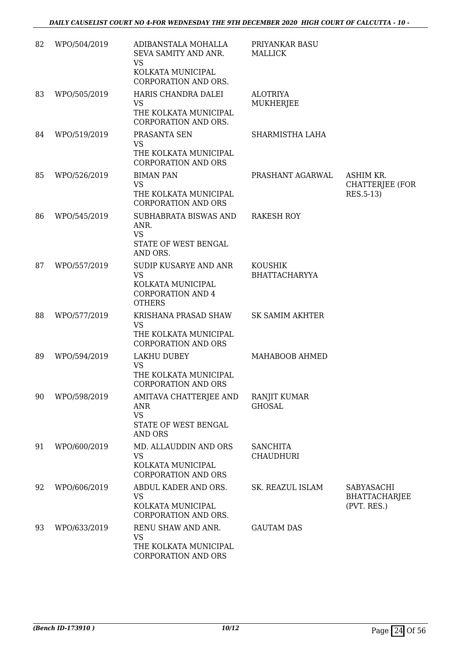| 82 | WPO/504/2019 | ADIBANSTALA MOHALLA<br>SEVA SAMITY AND ANR.<br><b>VS</b><br>KOLKATA MUNICIPAL<br><b>CORPORATION AND ORS.</b> | PRIYANKAR BASU<br><b>MALLICK</b>       |                                                   |
|----|--------------|--------------------------------------------------------------------------------------------------------------|----------------------------------------|---------------------------------------------------|
| 83 | WPO/505/2019 | HARIS CHANDRA DALEI<br><b>VS</b><br>THE KOLKATA MUNICIPAL<br>CORPORATION AND ORS.                            | <b>ALOTRIYA</b><br>MUKHERJEE           |                                                   |
| 84 | WPO/519/2019 | PRASANTA SEN<br><b>VS</b><br>THE KOLKATA MUNICIPAL<br><b>CORPORATION AND ORS</b>                             | SHARMISTHA LAHA                        |                                                   |
| 85 | WPO/526/2019 | <b>BIMAN PAN</b><br><b>VS</b><br>THE KOLKATA MUNICIPAL<br><b>CORPORATION AND ORS</b>                         | PRASHANT AGARWAL                       | ASHIM KR.<br><b>CHATTERJEE (FOR</b><br>RES.5-13)  |
| 86 | WPO/545/2019 | SUBHABRATA BISWAS AND<br>ANR.<br><b>VS</b><br>STATE OF WEST BENGAL<br>AND ORS.                               | <b>RAKESH ROY</b>                      |                                                   |
| 87 | WPO/557/2019 | SUDIP KUSARYE AND ANR<br><b>VS</b><br>KOLKATA MUNICIPAL<br><b>CORPORATION AND 4</b><br><b>OTHERS</b>         | <b>KOUSHIK</b><br><b>BHATTACHARYYA</b> |                                                   |
| 88 | WPO/577/2019 | KRISHANA PRASAD SHAW<br><b>VS</b><br>THE KOLKATA MUNICIPAL<br><b>CORPORATION AND ORS</b>                     | <b>SK SAMIM AKHTER</b>                 |                                                   |
| 89 | WPO/594/2019 | <b>LAKHU DUBEY</b><br><b>VS</b><br>THE KOLKATA MUNICIPAL<br><b>CORPORATION AND ORS</b>                       | MAHABOOB AHMED                         |                                                   |
| 90 | WPO/598/2019 | AMITAVA CHATTERJEE AND<br><b>ANR</b><br><b>VS</b><br>STATE OF WEST BENGAL<br><b>AND ORS</b>                  | RANJIT KUMAR<br><b>GHOSAL</b>          |                                                   |
| 91 | WPO/600/2019 | MD. ALLAUDDIN AND ORS<br><b>VS</b><br>KOLKATA MUNICIPAL<br><b>CORPORATION AND ORS</b>                        | <b>SANCHITA</b><br><b>CHAUDHURI</b>    |                                                   |
| 92 | WPO/606/2019 | ABDUL KADER AND ORS.<br><b>VS</b><br>KOLKATA MUNICIPAL<br>CORPORATION AND ORS.                               | SK. REAZUL ISLAM                       | SABYASACHI<br><b>BHATTACHARJEE</b><br>(PVT. RES.) |
| 93 | WPO/633/2019 | RENU SHAW AND ANR.<br><b>VS</b><br>THE KOLKATA MUNICIPAL<br>CORPORATION AND ORS                              | <b>GAUTAM DAS</b>                      |                                                   |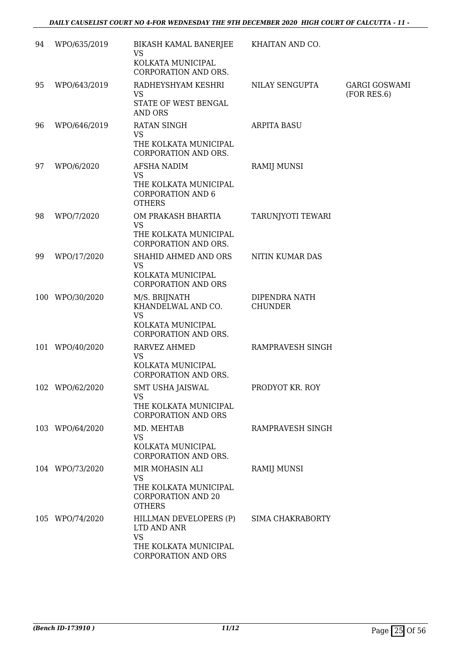| 94 | WPO/635/2019    | <b>BIKASH KAMAL BANERJEE</b><br><b>VS</b><br>KOLKATA MUNICIPAL      | KHAITAN AND CO.                 |                                     |
|----|-----------------|---------------------------------------------------------------------|---------------------------------|-------------------------------------|
|    |                 | CORPORATION AND ORS.                                                |                                 |                                     |
| 95 | WPO/643/2019    | RADHEYSHYAM KESHRI<br><b>VS</b>                                     | NILAY SENGUPTA                  | <b>GARGI GOSWAMI</b><br>(FOR RES.6) |
|    |                 | STATE OF WEST BENGAL<br><b>AND ORS</b>                              |                                 |                                     |
| 96 | WPO/646/2019    | <b>RATAN SINGH</b><br><b>VS</b>                                     | <b>ARPITA BASU</b>              |                                     |
|    |                 | THE KOLKATA MUNICIPAL<br>CORPORATION AND ORS.                       |                                 |                                     |
| 97 | WPO/6/2020      | AFSHA NADIM<br><b>VS</b>                                            | RAMIJ MUNSI                     |                                     |
|    |                 | THE KOLKATA MUNICIPAL<br><b>CORPORATION AND 6</b><br><b>OTHERS</b>  |                                 |                                     |
| 98 | WPO/7/2020      | OM PRAKASH BHARTIA<br><b>VS</b>                                     | TARUNJYOTI TEWARI               |                                     |
|    |                 | THE KOLKATA MUNICIPAL<br>CORPORATION AND ORS.                       |                                 |                                     |
| 99 | WPO/17/2020     | SHAHID AHMED AND ORS<br><b>VS</b>                                   | NITIN KUMAR DAS                 |                                     |
|    |                 | KOLKATA MUNICIPAL<br><b>CORPORATION AND ORS</b>                     |                                 |                                     |
|    | 100 WPO/30/2020 | M/S. BRIJNATH<br>KHANDELWAL AND CO.<br><b>VS</b>                    | DIPENDRA NATH<br><b>CHUNDER</b> |                                     |
|    |                 | KOLKATA MUNICIPAL<br>CORPORATION AND ORS.                           |                                 |                                     |
|    | 101 WPO/40/2020 | <b>RARVEZ AHMED</b>                                                 | RAMPRAVESH SINGH                |                                     |
|    |                 | <b>VS</b><br>KOLKATA MUNICIPAL<br>CORPORATION AND ORS.              |                                 |                                     |
|    | 102 WPO/62/2020 | <b>SMT USHA JAISWAL</b><br><b>VS</b>                                | PRODYOT KR. ROY                 |                                     |
|    |                 | THE KOLKATA MUNICIPAL<br><b>CORPORATION AND ORS</b>                 |                                 |                                     |
|    | 103 WPO/64/2020 | MD. MEHTAB<br><b>VS</b>                                             | RAMPRAVESH SINGH                |                                     |
|    |                 | KOLKATA MUNICIPAL<br>CORPORATION AND ORS.                           |                                 |                                     |
|    | 104 WPO/73/2020 | MIR MOHASIN ALI<br><b>VS</b>                                        | <b>RAMIJ MUNSI</b>              |                                     |
|    |                 | THE KOLKATA MUNICIPAL<br><b>CORPORATION AND 20</b><br><b>OTHERS</b> |                                 |                                     |
|    | 105 WPO/74/2020 | HILLMAN DEVELOPERS (P)<br>LTD AND ANR<br><b>VS</b>                  | SIMA CHAKRABORTY                |                                     |
|    |                 | THE KOLKATA MUNICIPAL<br>CORPORATION AND ORS                        |                                 |                                     |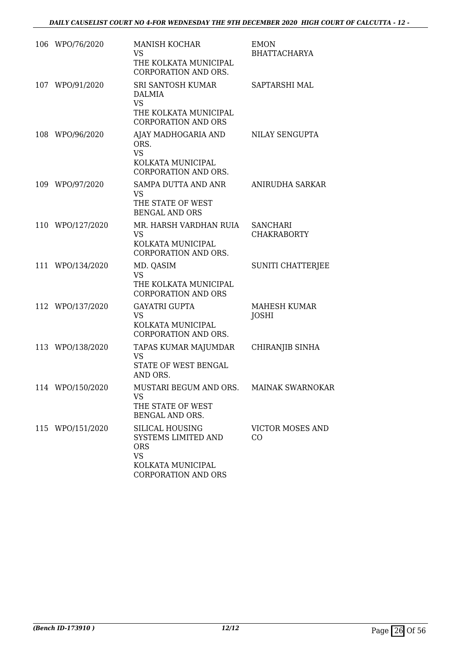| 106 WPO/76/2020  | <b>MANISH KOCHAR</b><br>VS<br>THE KOLKATA MUNICIPAL<br>CORPORATION AND ORS.                                   | <b>EMON</b><br><b>BHATTACHARYA</b>    |
|------------------|---------------------------------------------------------------------------------------------------------------|---------------------------------------|
| 107 WPO/91/2020  | SRI SANTOSH KUMAR<br><b>DALMIA</b><br><b>VS</b><br>THE KOLKATA MUNICIPAL<br><b>CORPORATION AND ORS</b>        | <b>SAPTARSHI MAL</b>                  |
| 108 WPO/96/2020  | AJAY MADHOGARIA AND<br>ORS.<br><b>VS</b><br>KOLKATA MUNICIPAL<br>CORPORATION AND ORS.                         | NILAY SENGUPTA                        |
| 109 WPO/97/2020  | SAMPA DUTTA AND ANR<br><b>VS</b><br>THE STATE OF WEST<br><b>BENGAL AND ORS</b>                                | ANIRUDHA SARKAR                       |
| 110 WPO/127/2020 | MR. HARSH VARDHAN RUIA<br><b>VS</b><br>KOLKATA MUNICIPAL<br>CORPORATION AND ORS.                              | <b>SANCHARI</b><br><b>CHAKRABORTY</b> |
| 111 WPO/134/2020 | MD. QASIM<br><b>VS</b><br>THE KOLKATA MUNICIPAL<br><b>CORPORATION AND ORS</b>                                 | SUNITI CHATTERJEE                     |
| 112 WPO/137/2020 | <b>GAYATRI GUPTA</b><br><b>VS</b><br>KOLKATA MUNICIPAL<br>CORPORATION AND ORS.                                | <b>MAHESH KUMAR</b><br><b>JOSHI</b>   |
| 113 WPO/138/2020 | TAPAS KUMAR MAJUMDAR<br><b>VS</b><br><b>STATE OF WEST BENGAL</b><br>AND ORS.                                  | CHIRANJIB SINHA                       |
| 114 WPO/150/2020 | MUSTARI BEGUM AND ORS.<br><b>VS</b><br>THE STATE OF WEST<br>BENGAL AND ORS.                                   | <b>MAINAK SWARNOKAR</b>               |
| 115 WPO/151/2020 | SILICAL HOUSING<br>SYSTEMS LIMITED AND<br><b>ORS</b><br><b>VS</b><br>KOLKATA MUNICIPAL<br>CORPORATION AND ORS | VICTOR MOSES AND<br>CO                |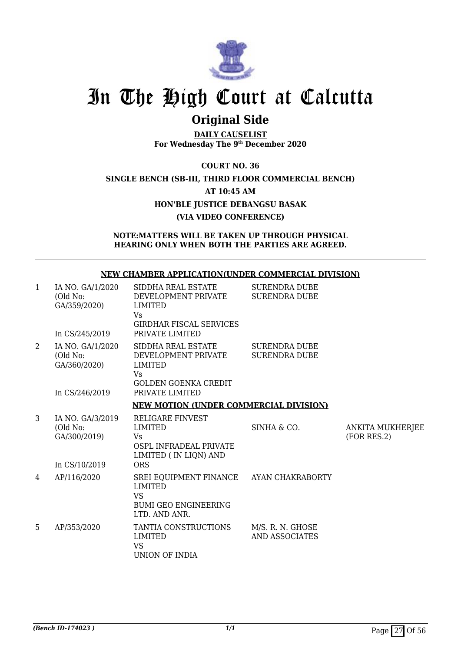

## **Original Side**

**DAILY CAUSELIST For Wednesday The 9th December 2020**

### **COURT NO. 36 SINGLE BENCH (SB-III, THIRD FLOOR COMMERCIAL BENCH) AT 10:45 AM HON'BLE JUSTICE DEBANGSU BASAK (VIA VIDEO CONFERENCE)**

### **NOTE:MATTERS WILL BE TAKEN UP THROUGH PHYSICAL HEARING ONLY WHEN BOTH THE PARTIES ARE AGREED.**

#### **NEW CHAMBER APPLICATION(UNDER COMMERCIAL DIVISION)** SIDDHA REAL ESTATE SURENDRA DUBE

| 1              | IA NO. GA/1/2020<br>(Old No:<br>GA/359/2020)<br>In CS/245/2019 | SIDDHA REAL ESTATE<br>DEVELOPMENT PRIVATE<br><b>LIMITED</b><br>Vs<br><b>GIRDHAR FISCAL SERVICES</b><br>PRIVATE LIMITED | <b>SURENDRA DUBE</b><br><b>SURENDRA DUBE</b> |                                        |
|----------------|----------------------------------------------------------------|------------------------------------------------------------------------------------------------------------------------|----------------------------------------------|----------------------------------------|
| $\overline{2}$ | IA NO. GA/1/2020<br>(Old No:<br>GA/360/2020)<br>In CS/246/2019 | SIDDHA REAL ESTATE<br>DEVELOPMENT PRIVATE<br>LIMITED<br>Vs<br><b>GOLDEN GOENKA CREDIT</b><br>PRIVATE LIMITED           | <b>SURENDRA DUBE</b><br><b>SURENDRA DUBE</b> |                                        |
|                |                                                                | <b>NEW MOTION (UNDER COMMERCIAL DIVISION)</b>                                                                          |                                              |                                        |
| 3              | IA NO. GA/3/2019<br>(Old No:<br>GA/300/2019)<br>In CS/10/2019  | <b>RELIGARE FINVEST</b><br><b>LIMITED</b><br>Vs<br>OSPL INFRADEAL PRIVATE<br>LIMITED (IN LIQN) AND<br><b>ORS</b>       | SINHA & CO.                                  | <b>ANKITA MUKHERJEE</b><br>(FOR RES.2) |
| 4              | AP/116/2020                                                    | SREI EQUIPMENT FINANCE AYAN CHAKRABORTY<br><b>LIMITED</b><br>VS.<br><b>BUMI GEO ENGINEERING</b><br>LTD. AND ANR.       |                                              |                                        |
| 5              | AP/353/2020                                                    | TANTIA CONSTRUCTIONS<br><b>LIMITED</b><br><b>VS</b><br>UNION OF INDIA                                                  | M/S. R. N. GHOSE<br><b>AND ASSOCIATES</b>    |                                        |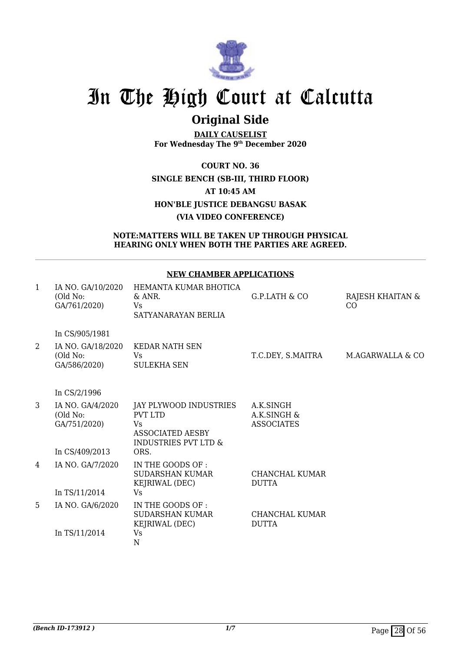

## **Original Side**

**DAILY CAUSELIST For Wednesday The 9th December 2020**

**COURT NO. 36 SINGLE BENCH (SB-III, THIRD FLOOR) AT 10:45 AM HON'BLE JUSTICE DEBANGSU BASAK (VIA VIDEO CONFERENCE)**

### **NOTE:MATTERS WILL BE TAKEN UP THROUGH PHYSICAL HEARING ONLY WHEN BOTH THE PARTIES ARE AGREED.**

### **NEW CHAMBER APPLICATIONS**

| $\mathbf{1}$ | IA NO. GA/10/2020<br>(Old No:<br>GA/761/2020) | HEMANTA KUMAR BHOTICA<br>& ANR.<br>Vs<br>SATYANARAYAN BERLIA                                                  | G.P.LATH & CO                                 | RAJESH KHAITAN &<br>CO |
|--------------|-----------------------------------------------|---------------------------------------------------------------------------------------------------------------|-----------------------------------------------|------------------------|
|              | In CS/905/1981                                |                                                                                                               |                                               |                        |
| 2            | IA NO. GA/18/2020<br>(Old No:<br>GA/586/2020) | <b>KEDAR NATH SEN</b><br>Vs<br><b>SULEKHA SEN</b>                                                             | T.C.DEY, S.MAITRA                             | M.AGARWALLA & CO       |
|              | In CS/2/1996                                  |                                                                                                               |                                               |                        |
| 3            | IA NO. GA/4/2020<br>(Old No:<br>GA/751/2020)  | JAY PLYWOOD INDUSTRIES<br><b>PVT LTD</b><br>Vs.<br><b>ASSOCIATED AESBY</b><br><b>INDUSTRIES PVT LTD &amp;</b> | A.K.SINGH<br>A.K.SINGH &<br><b>ASSOCIATES</b> |                        |
|              | In CS/409/2013                                | ORS.                                                                                                          |                                               |                        |
| 4            | IA NO. GA/7/2020                              | IN THE GOODS OF :<br><b>SUDARSHAN KUMAR</b><br>KEJRIWAL (DEC)                                                 | <b>CHANCHAL KUMAR</b><br><b>DUTTA</b>         |                        |
|              | In TS/11/2014                                 | Vs                                                                                                            |                                               |                        |
| 5            | IA NO. GA/6/2020                              | IN THE GOODS OF :<br><b>SUDARSHAN KUMAR</b><br>KEJRIWAL (DEC)                                                 | CHANCHAL KUMAR<br><b>DUTTA</b>                |                        |
|              | In TS/11/2014                                 | Vs<br>N                                                                                                       |                                               |                        |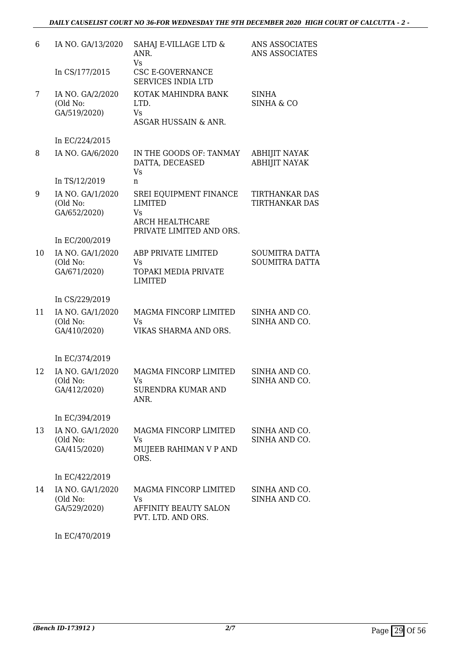| 6  | IA NO. GA/13/2020                            | SAHAJ E-VILLAGE LTD &<br>ANR.<br>Vs                                                                  | ANS ASSOCIATES<br>ANS ASSOCIATES               |
|----|----------------------------------------------|------------------------------------------------------------------------------------------------------|------------------------------------------------|
|    | In CS/177/2015                               | CSC E-GOVERNANCE<br><b>SERVICES INDIA LTD</b>                                                        |                                                |
| 7  | IA NO. GA/2/2020<br>(Old No:<br>GA/519/2020) | KOTAK MAHINDRA BANK<br>LTD.<br>Vs<br>ASGAR HUSSAIN & ANR.                                            | <b>SINHA</b><br><b>SINHA &amp; CO</b>          |
|    | In EC/224/2015                               |                                                                                                      |                                                |
| 8  | IA NO. GA/6/2020                             | IN THE GOODS OF: TANMAY<br>DATTA, DECEASED<br>Vs                                                     | <b>ABHIJIT NAYAK</b><br><b>ABHIJIT NAYAK</b>   |
|    | In TS/12/2019                                | n                                                                                                    |                                                |
| 9  | IA NO. GA/1/2020<br>(Old No:<br>GA/652/2020) | SREI EQUIPMENT FINANCE<br><b>LIMITED</b><br>Vs<br><b>ARCH HEALTHCARE</b><br>PRIVATE LIMITED AND ORS. | <b>TIRTHANKAR DAS</b><br><b>TIRTHANKAR DAS</b> |
|    | In EC/200/2019                               |                                                                                                      |                                                |
| 10 | IA NO. GA/1/2020<br>(Old No:<br>GA/671/2020) | ABP PRIVATE LIMITED<br>Vs<br>TOPAKI MEDIA PRIVATE<br><b>LIMITED</b>                                  | <b>SOUMITRA DATTA</b><br><b>SOUMITRA DATTA</b> |
|    | In CS/229/2019                               |                                                                                                      |                                                |
| 11 | IA NO. GA/1/2020<br>(Old No:<br>GA/410/2020) | MAGMA FINCORP LIMITED<br>Vs<br>VIKAS SHARMA AND ORS.                                                 | SINHA AND CO.<br>SINHA AND CO.                 |
|    | In EC/374/2019                               |                                                                                                      |                                                |
| 12 | IA NO. GA/1/2020<br>(Old No:<br>GA/412/2020) | MAGMA FINCORP LIMITED<br>Vs<br><b>SURENDRA KUMAR AND</b><br>ANR.                                     | SINHA AND CO.<br>SINHA AND CO.                 |
|    | In EC/394/2019                               |                                                                                                      |                                                |
| 13 | IA NO. GA/1/2020<br>(Old No:<br>GA/415/2020) | MAGMA FINCORP LIMITED<br>Vs.<br>MUJEEB RAHIMAN V P AND<br>ORS.                                       | SINHA AND CO.<br>SINHA AND CO.                 |
|    | In EC/422/2019                               |                                                                                                      |                                                |
| 14 | IA NO. GA/1/2020<br>(Old No:<br>GA/529/2020) | MAGMA FINCORP LIMITED<br>Vs.<br>AFFINITY BEAUTY SALON<br>PVT. LTD. AND ORS.                          | SINHA AND CO.<br>SINHA AND CO.                 |
|    |                                              |                                                                                                      |                                                |

In EC/470/2019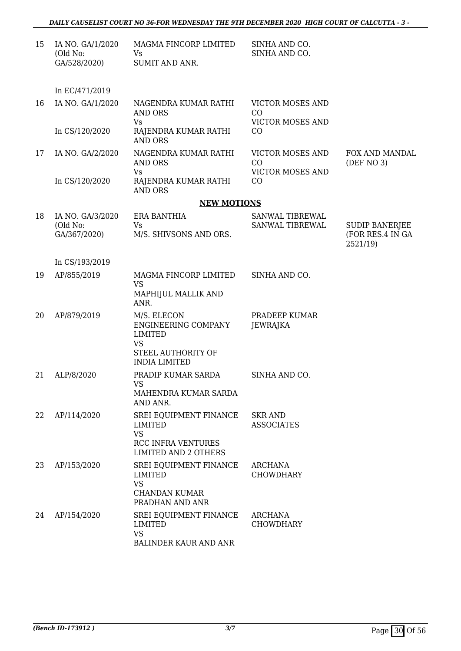| 15 | IA NO. GA/1/2020<br>(Old No:<br>GA/528/2020) | MAGMA FINCORP LIMITED<br>Vs<br><b>SUMIT AND ANR.</b>                                                              | SINHA AND CO.<br>SINHA AND CO.                           |                                           |
|----|----------------------------------------------|-------------------------------------------------------------------------------------------------------------------|----------------------------------------------------------|-------------------------------------------|
|    | In EC/471/2019                               |                                                                                                                   |                                                          |                                           |
| 16 | IA NO. GA/1/2020                             | NAGENDRA KUMAR RATHI<br><b>AND ORS</b><br>Vs                                                                      | <b>VICTOR MOSES AND</b><br>CO<br><b>VICTOR MOSES AND</b> |                                           |
|    | In CS/120/2020                               | RAJENDRA KUMAR RATHI<br><b>AND ORS</b>                                                                            | CO                                                       |                                           |
| 17 | IA NO. GA/2/2020                             | NAGENDRA KUMAR RATHI<br><b>AND ORS</b>                                                                            | <b>VICTOR MOSES AND</b><br>CO                            | FOX AND MANDAL<br>(DEF NO 3)              |
|    | In CS/120/2020                               | Vs<br>RAJENDRA KUMAR RATHI<br><b>AND ORS</b>                                                                      | <b>VICTOR MOSES AND</b><br>CO                            |                                           |
|    |                                              | <b>NEW MOTIONS</b>                                                                                                |                                                          |                                           |
| 18 | IA NO. GA/3/2020<br>(Old No:<br>GA/367/2020) | <b>ERA BANTHIA</b><br>Vs<br>M/S. SHIVSONS AND ORS.                                                                | SANWAL TIBREWAL<br>SANWAL TIBREWAL                       | <b>SUDIP BANERJEE</b><br>(FOR RES.4 IN GA |
|    |                                              |                                                                                                                   |                                                          | 2521/19)                                  |
|    | In CS/193/2019                               |                                                                                                                   |                                                          |                                           |
| 19 | AP/855/2019                                  | MAGMA FINCORP LIMITED<br><b>VS</b><br>MAPHIJUL MALLIK AND<br>ANR.                                                 | SINHA AND CO.                                            |                                           |
| 20 | AP/879/2019                                  | M/S. ELECON<br>ENGINEERING COMPANY<br><b>LIMITED</b><br><b>VS</b><br>STEEL AUTHORITY OF<br><b>INDIA LIMITED</b>   | PRADEEP KUMAR<br>JEWRAJKA                                |                                           |
| 21 | ALP/8/2020                                   | PRADIP KUMAR SARDA<br><b>VS</b><br>MAHENDRA KUMAR SARDA<br>AND ANR.                                               | SINHA AND CO.                                            |                                           |
| 22 | AP/114/2020                                  | SREI EQUIPMENT FINANCE<br><b>LIMITED</b><br><b>VS</b><br><b>RCC INFRA VENTURES</b><br><b>LIMITED AND 2 OTHERS</b> | <b>SKR AND</b><br><b>ASSOCIATES</b>                      |                                           |
| 23 | AP/153/2020                                  | SREI EQUIPMENT FINANCE<br>LIMITED<br><b>VS</b><br><b>CHANDAN KUMAR</b><br>PRADHAN AND ANR                         | <b>ARCHANA</b><br><b>CHOWDHARY</b>                       |                                           |
| 24 | AP/154/2020                                  | SREI EQUIPMENT FINANCE<br><b>LIMITED</b><br><b>VS</b><br><b>BALINDER KAUR AND ANR</b>                             | ARCHANA<br><b>CHOWDHARY</b>                              |                                           |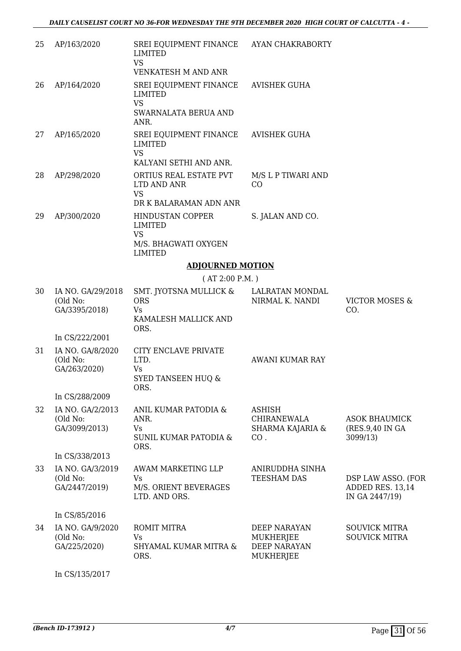| 25 | AP/163/2020                                    | SREI EQUIPMENT FINANCE AYAN CHAKRABORTY<br><b>LIMITED</b><br><b>VS</b><br>VENKATESH M AND ANR |                                                                |                                                          |
|----|------------------------------------------------|-----------------------------------------------------------------------------------------------|----------------------------------------------------------------|----------------------------------------------------------|
| 26 | AP/164/2020                                    | SREI EQUIPMENT FINANCE<br>LIMITED<br><b>VS</b>                                                | <b>AVISHEK GUHA</b>                                            |                                                          |
|    |                                                | SWARNALATA BERUA AND<br>ANR.                                                                  |                                                                |                                                          |
| 27 | AP/165/2020                                    | SREI EQUIPMENT FINANCE<br><b>LIMITED</b><br><b>VS</b><br>KALYANI SETHI AND ANR.               | <b>AVISHEK GUHA</b>                                            |                                                          |
| 28 | AP/298/2020                                    | ORTIUS REAL ESTATE PVT<br>LTD AND ANR<br><b>VS</b>                                            | M/S L P TIWARI AND<br>CO                                       |                                                          |
|    |                                                | DR K BALARAMAN ADN ANR                                                                        |                                                                |                                                          |
| 29 | AP/300/2020                                    | HINDUSTAN COPPER<br><b>LIMITED</b><br><b>VS</b>                                               | S. JALAN AND CO.                                               |                                                          |
|    |                                                | M/S. BHAGWATI OXYGEN<br><b>LIMITED</b>                                                        |                                                                |                                                          |
|    |                                                | <b>ADJOURNED MOTION</b>                                                                       |                                                                |                                                          |
|    |                                                | (AT 2:00 P.M. )                                                                               |                                                                |                                                          |
| 30 | IA NO. GA/29/2018<br>(Old No:<br>GA/3395/2018) | SMT. JYOTSNA MULLICK &<br><b>ORS</b><br>Vs<br>KAMALESH MALLICK AND                            | LALRATAN MONDAL<br>NIRMAL K. NANDI                             | <b>VICTOR MOSES &amp;</b><br>CO.                         |
|    | In CS/222/2001                                 | ORS.                                                                                          |                                                                |                                                          |
| 31 | IA NO. GA/8/2020<br>(Old No:<br>GA/263/2020)   | CITY ENCLAVE PRIVATE<br>LTD.<br>Vs<br><b>SYED TANSEEN HUQ &amp;</b><br>ORS.                   | AWANI KUMAR RAY                                                |                                                          |
|    | In CS/288/2009                                 |                                                                                               |                                                                |                                                          |
| 32 | IA NO. GA/2/2013<br>(Old No:<br>GA/3099/2013)  | ANIL KUMAR PATODIA &<br>ANR.<br>Vs.<br>SUNIL KUMAR PATODIA &<br>ORS.                          | <b>ASHISH</b><br><b>CHIRANEWALA</b><br>SHARMA KAJARIA &<br>CO. | <b>ASOK BHAUMICK</b><br>(RES.9,40 IN GA<br>3099/13)      |
|    | In CS/338/2013                                 |                                                                                               |                                                                |                                                          |
| 33 | IA NO. GA/3/2019<br>(Old No:<br>GA/2447/2019)  | AWAM MARKETING LLP<br>Vs<br>M/S. ORIENT BEVERAGES<br>LTD. AND ORS.                            | ANIRUDDHA SINHA<br><b>TEESHAM DAS</b>                          | DSP LAW ASSO. (FOR<br>ADDED RES. 13,14<br>IN GA 2447/19) |
|    | In CS/85/2016                                  |                                                                                               |                                                                |                                                          |
| 34 | IA NO. GA/9/2020<br>(Old No:<br>GA/225/2020)   | ROMIT MITRA<br><b>Vs</b><br>SHYAMAL KUMAR MITRA &<br>ORS.                                     | DEEP NARAYAN<br>MUKHERJEE<br><b>DEEP NARAYAN</b><br>MUKHERJEE  | <b>SOUVICK MITRA</b><br><b>SOUVICK MITRA</b>             |
|    | In CS/135/2017                                 |                                                                                               |                                                                |                                                          |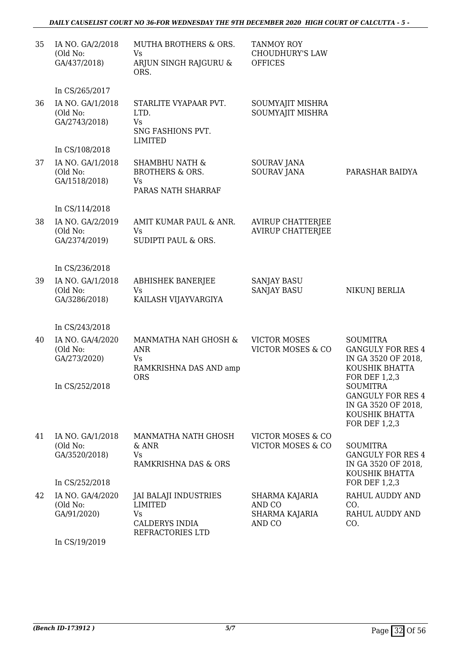### *DAILY CAUSELIST COURT NO 36-FOR WEDNESDAY THE 9TH DECEMBER 2020 HIGH COURT OF CALCUTTA - 5 -*

| 35 | IA NO. GA/2/2018<br>(Old No:<br>GA/437/2018)                   | MUTHA BROTHERS & ORS.<br>Vs<br>ARJUN SINGH RAJGURU &<br>ORS.                        | <b>TANMOY ROY</b><br><b>CHOUDHURY'S LAW</b><br><b>OFFICES</b> |                                                                                                                                                                                                                       |
|----|----------------------------------------------------------------|-------------------------------------------------------------------------------------|---------------------------------------------------------------|-----------------------------------------------------------------------------------------------------------------------------------------------------------------------------------------------------------------------|
|    | In CS/265/2017                                                 |                                                                                     |                                                               |                                                                                                                                                                                                                       |
| 36 | IA NO. GA/1/2018<br>(Old No:<br>GA/2743/2018)                  | STARLITE VYAPAAR PVT.<br>LTD.<br><b>Vs</b><br>SNG FASHIONS PVT.<br><b>LIMITED</b>   | SOUMYAJIT MISHRA<br>SOUMYAJIT MISHRA                          |                                                                                                                                                                                                                       |
|    | In CS/108/2018                                                 |                                                                                     |                                                               |                                                                                                                                                                                                                       |
| 37 | IA NO. GA/1/2018<br>(Old No:<br>GA/1518/2018)                  | <b>SHAMBHU NATH &amp;</b><br><b>BROTHERS &amp; ORS.</b><br>Vs<br>PARAS NATH SHARRAF | SOURAV JANA<br><b>SOURAV JANA</b>                             | PARASHAR BAIDYA                                                                                                                                                                                                       |
|    | In CS/114/2018                                                 |                                                                                     |                                                               |                                                                                                                                                                                                                       |
| 38 | IA NO. GA/2/2019<br>(Old No:<br>GA/2374/2019)                  | AMIT KUMAR PAUL & ANR.<br>Vs<br>SUDIPTI PAUL & ORS.                                 | <b>AVIRUP CHATTERJEE</b><br><b>AVIRUP CHATTERJEE</b>          |                                                                                                                                                                                                                       |
|    | In CS/236/2018                                                 |                                                                                     |                                                               |                                                                                                                                                                                                                       |
| 39 | IA NO. GA/1/2018<br>(Old No:<br>GA/3286/2018)                  | <b>ABHISHEK BANERJEE</b><br><b>Vs</b><br>KAILASH VIJAYVARGIYA                       | <b>SANJAY BASU</b><br><b>SANJAY BASU</b>                      | NIKUNJ BERLIA                                                                                                                                                                                                         |
|    | In CS/243/2018                                                 |                                                                                     |                                                               |                                                                                                                                                                                                                       |
| 40 | IA NO. GA/4/2020<br>(Old No:<br>GA/273/2020)<br>In CS/252/2018 | MANMATHA NAH GHOSH &<br>ANR<br>Vs<br>RAMKRISHNA DAS AND amp<br><b>ORS</b>           | <b>VICTOR MOSES</b><br><b>VICTOR MOSES &amp; CO</b>           | <b>SOUMITRA</b><br><b>GANGULY FOR RES 4</b><br>IN GA 3520 OF 2018,<br>KOUSHIK BHATTA<br><b>FOR DEF 1,2,3</b><br><b>SOUMITRA</b><br><b>GANGULY FOR RES 4</b><br>IN GA 3520 OF 2018,<br>KOUSHIK BHATTA<br>FOR DEF 1,2,3 |
| 41 | IA NO. GA/1/2018<br>(Old No:<br>GA/3520/2018)                  | MANMATHA NATH GHOSH<br>$&$ ANR<br>Vs<br>RAMKRISHNA DAS & ORS                        | <b>VICTOR MOSES &amp; CO</b><br><b>VICTOR MOSES &amp; CO</b>  | <b>SOUMITRA</b><br><b>GANGULY FOR RES 4</b><br>IN GA 3520 OF 2018,<br>KOUSHIK BHATTA                                                                                                                                  |
|    | In CS/252/2018                                                 |                                                                                     |                                                               | FOR DEF 1,2,3                                                                                                                                                                                                         |
| 42 | IA NO. GA/4/2020<br>(Old No:<br>GA/91/2020)                    | JAI BALAJI INDUSTRIES<br>LIMITED<br>Vs<br><b>CALDERYS INDIA</b><br>REFRACTORIES LTD | SHARMA KAJARIA<br>AND CO<br><b>SHARMA KAJARIA</b><br>AND CO   | RAHUL AUDDY AND<br>CO.<br>RAHUL AUDDY AND<br>CO.                                                                                                                                                                      |

In CS/19/2019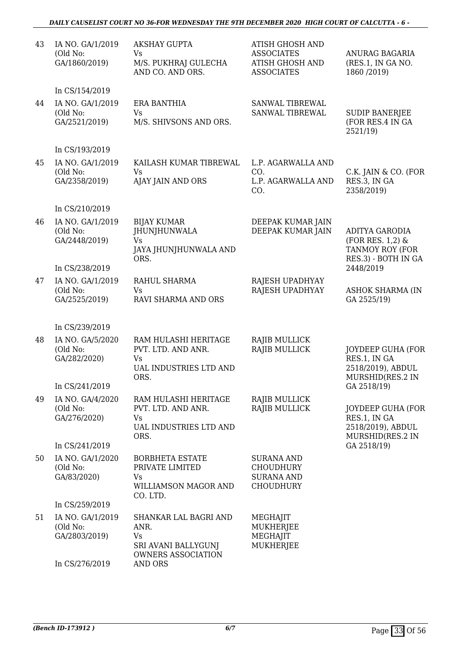#### *DAILY CAUSELIST COURT NO 36-FOR WEDNESDAY THE 9TH DECEMBER 2020 HIGH COURT OF CALCUTTA - 6 -*

| 43 | IA NO. GA/1/2019<br>(Old No:<br>GA/1860/2019) | <b>AKSHAY GUPTA</b><br>Vs<br>M/S. PUKHRAJ GULECHA<br>AND CO. AND ORS.                            | <b>ATISH GHOSH AND</b><br><b>ASSOCIATES</b><br><b>ATISH GHOSH AND</b><br><b>ASSOCIATES</b> | ANURAG BAGARIA<br>(RES.1, IN GA NO.<br>1860 / 2019)                                 |
|----|-----------------------------------------------|--------------------------------------------------------------------------------------------------|--------------------------------------------------------------------------------------------|-------------------------------------------------------------------------------------|
|    | In CS/154/2019                                |                                                                                                  |                                                                                            |                                                                                     |
| 44 | IA NO. GA/1/2019<br>(Old No:<br>GA/2521/2019) | <b>ERA BANTHIA</b><br><b>Vs</b><br>M/S. SHIVSONS AND ORS.                                        | SANWAL TIBREWAL<br>SANWAL TIBREWAL                                                         | <b>SUDIP BANERJEE</b><br>(FOR RES.4 IN GA<br>2521/19)                               |
|    | In CS/193/2019                                |                                                                                                  |                                                                                            |                                                                                     |
| 45 | IA NO. GA/1/2019<br>(Old No:<br>GA/2358/2019) | KAILASH KUMAR TIBREWAL<br><b>Vs</b><br>AJAY JAIN AND ORS                                         | L.P. AGARWALLA AND<br>CO.<br>L.P. AGARWALLA AND<br>CO.                                     | C.K. JAIN & CO. (FOR<br>RES.3, IN GA<br>2358/2019)                                  |
|    | In CS/210/2019                                |                                                                                                  |                                                                                            |                                                                                     |
| 46 | IA NO. GA/1/2019<br>(Old No:<br>GA/2448/2019) | <b>BIJAY KUMAR</b><br><b>JHUNJHUNWALA</b><br><b>Vs</b><br>JAYA JHUNJHUNWALA AND<br>ORS.          | DEEPAK KUMAR JAIN<br>DEEPAK KUMAR JAIN                                                     | <b>ADITYA GARODIA</b><br>(FOR RES. 1,2) &<br>TANMOY ROY (FOR<br>RES.3) - BOTH IN GA |
|    | In CS/238/2019                                |                                                                                                  |                                                                                            | 2448/2019                                                                           |
| 47 | IA NO. GA/1/2019<br>(Old No:<br>GA/2525/2019) | RAHUL SHARMA<br><b>Vs</b><br>RAVI SHARMA AND ORS                                                 | RAJESH UPADHYAY<br>RAJESH UPADHYAY                                                         | <b>ASHOK SHARMA (IN</b><br>GA 2525/19)                                              |
|    | In CS/239/2019                                |                                                                                                  |                                                                                            |                                                                                     |
| 48 | IA NO. GA/5/2020<br>(Old No:<br>GA/282/2020)  | RAM HULASHI HERITAGE<br>PVT. LTD. AND ANR.<br><b>Vs</b><br><b>UAL INDUSTRIES LTD AND</b><br>ORS. | <b>RAJIB MULLICK</b><br><b>RAJIB MULLICK</b>                                               | JOYDEEP GUHA (FOR<br>RES.1, IN GA<br>2518/2019), ABDUL<br>MURSHID(RES.2 IN          |
|    | In CS/241/2019                                |                                                                                                  |                                                                                            | GA 2518/19)                                                                         |
| 49 | IA NO. GA/4/2020<br>(Old No:<br>GA/276/2020)  | RAM HULASHI HERITAGE<br>PVT. LTD. AND ANR.<br><b>Vs</b><br>UAL INDUSTRIES LTD AND<br>ORS.        | <b>RAJIB MULLICK</b><br>RAJIB MULLICK                                                      | <b>JOYDEEP GUHA (FOR</b><br>RES.1, IN GA<br>2518/2019), ABDUL<br>MURSHID(RES.2 IN   |
|    | In CS/241/2019<br>IA NO. GA/1/2020            | <b>BORBHETA ESTATE</b>                                                                           |                                                                                            | GA 2518/19)                                                                         |
| 50 | (Old No:<br>GA/83/2020)                       | PRIVATE LIMITED<br>Vs<br>WILLIAMSON MAGOR AND<br>CO. LTD.                                        | <b>SURANA AND</b><br><b>CHOUDHURY</b><br><b>SURANA AND</b><br><b>CHOUDHURY</b>             |                                                                                     |
|    | In CS/259/2019                                |                                                                                                  |                                                                                            |                                                                                     |
| 51 | IA NO. GA/1/2019<br>(Old No:<br>GA/2803/2019) | SHANKAR LAL BAGRI AND<br>ANR.<br><b>Vs</b><br>SRI AVANI BALLYGUNJ<br><b>OWNERS ASSOCIATION</b>   | MEGHAJIT<br>MUKHERJEE<br>MEGHAJIT<br>MUKHERJEE                                             |                                                                                     |
|    | In CS/276/2019                                | <b>AND ORS</b>                                                                                   |                                                                                            |                                                                                     |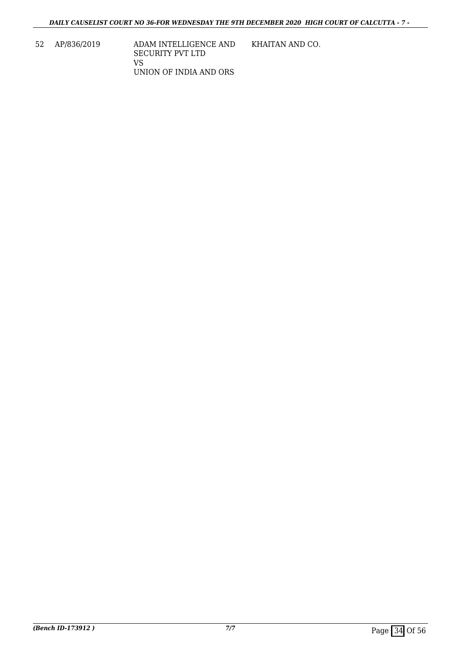52 AP/836/2019 ADAM INTELLIGENCE AND SECURITY PVT LTD VS UNION OF INDIA AND ORS KHAITAN AND CO.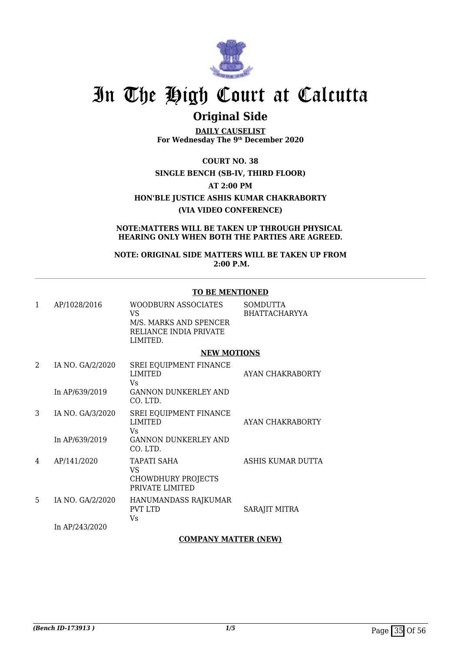

## **Original Side**

**DAILY CAUSELIST For Wednesday The 9th December 2020**

**COURT NO. 38**

**SINGLE BENCH (SB-IV, THIRD FLOOR)**

**AT 2:00 PM**

**HON'BLE JUSTICE ASHIS KUMAR CHAKRABORTY**

#### **(VIA VIDEO CONFERENCE)**

**NOTE:MATTERS WILL BE TAKEN UP THROUGH PHYSICAL HEARING ONLY WHEN BOTH THE PARTIES ARE AGREED.**

**NOTE: ORIGINAL SIDE MATTERS WILL BE TAKEN UP FROM 2:00 P.M.**

#### **TO BE MENTIONED**

| 1 | AP/1028/2016     | <b>WOODBURN ASSOCIATES</b><br>VS                                         | SOMDUTTA<br><b>BHATTACHARYYA</b> |
|---|------------------|--------------------------------------------------------------------------|----------------------------------|
|   |                  | M/S. MARKS AND SPENCER<br>RELIANCE INDIA PRIVATE<br>LIMITED.             |                                  |
|   |                  | <b>NEW MOTIONS</b>                                                       |                                  |
| 2 | IA NO. GA/2/2020 | <b>SREI EQUIPMENT FINANCE</b><br><b>LIMITED</b><br>Vs                    | AYAN CHAKRABORTY                 |
|   | In AP/639/2019   | <b>GANNON DUNKERLEY AND</b><br>CO. LTD.                                  |                                  |
| 3 | IA NO. GA/3/2020 | SREI EQUIPMENT FINANCE<br><b>LIMITED</b><br>Vs                           | AYAN CHAKRABORTY                 |
|   | In AP/639/2019   | <b>GANNON DUNKERLEY AND</b><br>$CO.$ LTD.                                |                                  |
| 4 | AP/141/2020      | <b>TAPATI SAHA</b><br>VS<br><b>CHOWDHURY PROJECTS</b><br>PRIVATE LIMITED | ASHIS KUMAR DUTTA                |
| 5 | IA NO. GA/2/2020 | HANUMANDASS RAJKUMAR<br><b>PVT LTD</b><br>Vs                             | SARAJIT MITRA                    |
|   | In AP/243/2020   |                                                                          |                                  |

### **COMPANY MATTER (NEW)**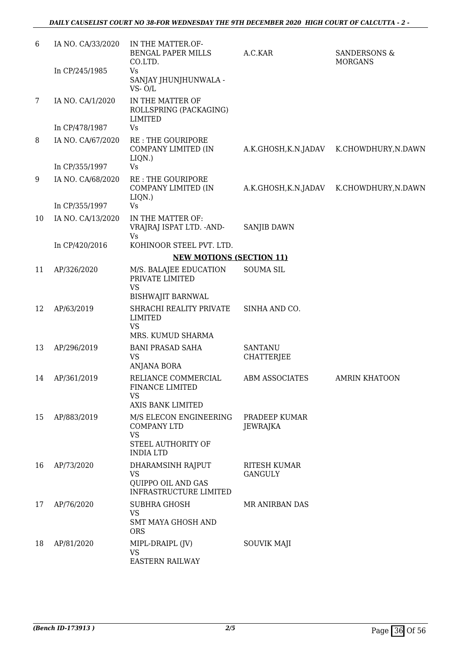| 6               | IA NO. CA/33/2020 | IN THE MATTER.OF-<br><b>BENGAL PAPER MILLS</b><br>CO.LTD.                          | A.C.KAR                        | <b>SANDERSONS &amp;</b><br><b>MORGANS</b> |
|-----------------|-------------------|------------------------------------------------------------------------------------|--------------------------------|-------------------------------------------|
|                 | In CP/245/1985    | Vs<br>SANJAY JHUNJHUNWALA -<br>$VS - O/L$                                          |                                |                                           |
| $7\phantom{.0}$ | IA NO. CA/1/2020  | IN THE MATTER OF<br>ROLLSPRING (PACKAGING)<br><b>LIMITED</b>                       |                                |                                           |
|                 | In CP/478/1987    | Vs                                                                                 |                                |                                           |
| 8               | IA NO. CA/67/2020 | <b>RE: THE GOURIPORE</b><br>COMPANY LIMITED (IN<br>LIQN.)                          | A.K.GHOSH,K.N.JADAV            | K.CHOWDHURY, N.DAWN                       |
|                 | In CP/355/1997    | Vs                                                                                 |                                |                                           |
| 9               | IA NO. CA/68/2020 | <b>RE: THE GOURIPORE</b><br>COMPANY LIMITED (IN<br>LIQN.)                          | A.K.GHOSH,K.N.JADAV            | K.CHOWDHURY, N.DAWN                       |
|                 | In CP/355/1997    | Vs                                                                                 |                                |                                           |
| 10              | IA NO. CA/13/2020 | IN THE MATTER OF:<br>VRAJRAJ ISPAT LTD. - AND-<br>Vs                               | <b>SANJIB DAWN</b>             |                                           |
|                 | In CP/420/2016    | KOHINOOR STEEL PVT. LTD.                                                           |                                |                                           |
|                 |                   | <b>NEW MOTIONS (SECTION 11)</b>                                                    |                                |                                           |
| 11              | AP/326/2020       | M/S. BALAJEE EDUCATION<br>PRIVATE LIMITED<br><b>VS</b><br><b>BISHWAJIT BARNWAL</b> | <b>SOUMA SIL</b>               |                                           |
| 12              | AP/63/2019        | SHRACHI REALITY PRIVATE<br><b>LIMITED</b><br><b>VS</b>                             | SINHA AND CO.                  |                                           |
|                 |                   | MRS. KUMUD SHARMA                                                                  | <b>SANTANU</b>                 |                                           |
| 13              | AP/296/2019       | <b>BANI PRASAD SAHA</b><br><b>VS</b><br>ANJANA BORA                                | <b>CHATTERJEE</b>              |                                           |
| 14              | AP/361/2019       | RELIANCE COMMERCIAL<br>FINANCE LIMITED<br>VS<br>AXIS BANK LIMITED                  | <b>ABM ASSOCIATES</b>          | <b>AMRIN KHATOON</b>                      |
| 15              | AP/883/2019       | M/S ELECON ENGINEERING<br><b>COMPANY LTD</b><br><b>VS</b>                          | PRADEEP KUMAR<br>JEWRAJKA      |                                           |
|                 |                   | STEEL AUTHORITY OF<br><b>INDIA LTD</b>                                             |                                |                                           |
| 16              | AP/73/2020        | DHARAMSINH RAJPUT<br>VS<br>QUIPPO OIL AND GAS<br>INFRASTRUCTURE LIMITED            | <b>RITESH KUMAR</b><br>GANGULY |                                           |
| 17              | AP/76/2020        | <b>SUBHRA GHOSH</b><br><b>VS</b><br><b>SMT MAYA GHOSH AND</b><br><b>ORS</b>        | MR ANIRBAN DAS                 |                                           |
| 18              | AP/81/2020        | MIPL-DRAIPL (JV)<br><b>VS</b><br><b>EASTERN RAILWAY</b>                            | SOUVIK MAJI                    |                                           |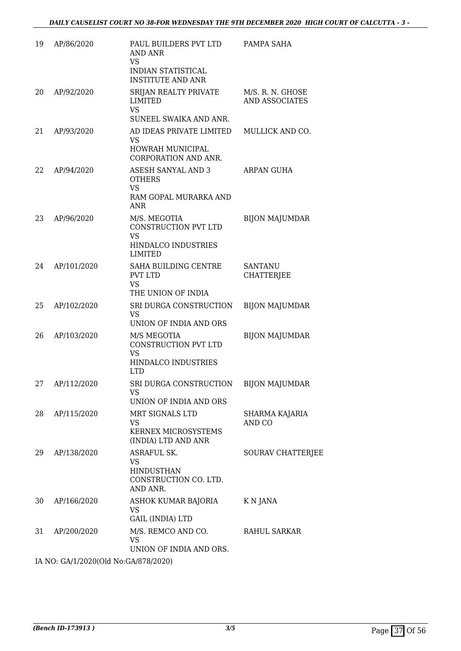| 19 | AP/86/2020  | PAUL BUILDERS PVT LTD<br><b>AND ANR</b><br>VS<br><b>INDIAN STATISTICAL</b><br><b>INSTITUTE AND ANR</b> | PAMPA SAHA                          |
|----|-------------|--------------------------------------------------------------------------------------------------------|-------------------------------------|
| 20 | AP/92/2020  | SRIJAN REALTY PRIVATE<br><b>LIMITED</b><br><b>VS</b><br>SUNEEL SWAIKA AND ANR.                         | M/S. R. N. GHOSE<br>AND ASSOCIATES  |
| 21 | AP/93/2020  | AD IDEAS PRIVATE LIMITED<br><b>VS</b><br>HOWRAH MUNICIPAL<br>CORPORATION AND ANR.                      | MULLICK AND CO.                     |
| 22 | AP/94/2020  | <b>ASESH SANYAL AND 3</b><br><b>OTHERS</b><br><b>VS</b><br>RAM GOPAL MURARKA AND<br><b>ANR</b>         | ARPAN GUHA                          |
| 23 | AP/96/2020  | M/S. MEGOTIA<br>CONSTRUCTION PVT LTD<br><b>VS</b><br>HINDALCO INDUSTRIES<br><b>LIMITED</b>             | <b>BIJON MAJUMDAR</b>               |
| 24 | AP/101/2020 | SAHA BUILDING CENTRE<br><b>PVT LTD</b><br><b>VS</b><br>THE UNION OF INDIA                              | <b>SANTANU</b><br><b>CHATTERJEE</b> |
| 25 | AP/102/2020 | SRI DURGA CONSTRUCTION<br><b>VS</b><br>UNION OF INDIA AND ORS                                          | <b>BIJON MAJUMDAR</b>               |
| 26 | AP/103/2020 | M/S MEGOTIA<br>CONSTRUCTION PVT LTD<br><b>VS</b><br>HINDALCO INDUSTRIES<br><b>LTD</b>                  | <b>BIJON MAJUMDAR</b>               |
| 27 | AP/112/2020 | SRI DURGA CONSTRUCTION BIJON MAJUMDAR<br>VS<br>UNION OF INDIA AND ORS                                  |                                     |
| 28 | AP/115/2020 | MRT SIGNALS LTD<br>VS<br><b>KERNEX MICROSYSTEMS</b><br>(INDIA) LTD AND ANR                             | SHARMA KAJARIA<br>AND CO            |
| 29 | AP/138/2020 | ASRAFUL SK.<br>VS.<br><b>HINDUSTHAN</b><br>CONSTRUCTION CO. LTD.<br>AND ANR.                           | SOURAV CHATTERJEE                   |
| 30 | AP/166/2020 | ASHOK KUMAR BAJORIA<br><b>VS</b><br>GAIL (INDIA) LTD                                                   | K N JANA                            |
| 31 | AP/200/2020 | M/S. REMCO AND CO.<br>VS.<br>UNION OF INDIA AND ORS.                                                   | RAHUL SARKAR                        |

IA NO: GA/1/2020(Old No:GA/878/2020)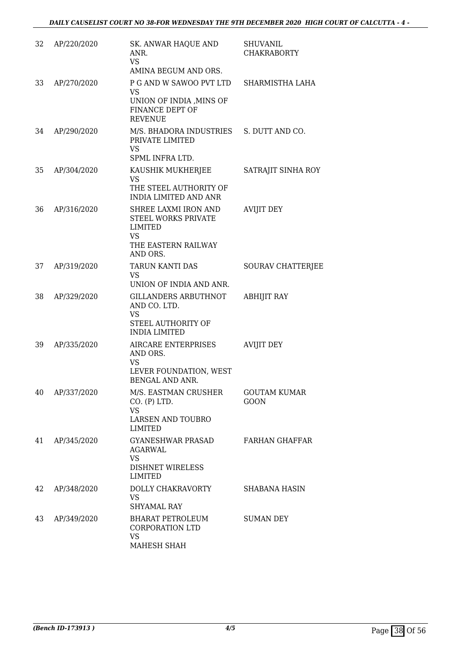| 32 | AP/220/2020 | SK. ANWAR HAQUE AND<br>ANR.<br><b>VS</b><br>AMINA BEGUM AND ORS.                                      | <b>SHUVANIL</b><br><b>CHAKRABORTY</b> |
|----|-------------|-------------------------------------------------------------------------------------------------------|---------------------------------------|
| 33 | AP/270/2020 | P G AND W SAWOO PVT LTD<br><b>VS</b><br>UNION OF INDIA , MINS OF<br>FINANCE DEPT OF<br><b>REVENUE</b> | SHARMISTHA LAHA                       |
| 34 | AP/290/2020 | M/S. BHADORA INDUSTRIES S. DUTT AND CO.<br>PRIVATE LIMITED<br>VS<br>SPML INFRA LTD.                   |                                       |
| 35 | AP/304/2020 | KAUSHIK MUKHERJEE<br>VS<br>THE STEEL AUTHORITY OF<br><b>INDIA LIMITED AND ANR</b>                     | SATRAJIT SINHA ROY                    |
| 36 | AP/316/2020 | SHREE LAXMI IRON AND<br>STEEL WORKS PRIVATE<br>LIMITED<br>VS<br>THE EASTERN RAILWAY<br>AND ORS.       | <b>AVIJIT DEY</b>                     |
| 37 | AP/319/2020 | <b>TARUN KANTI DAS</b><br>VS.<br>UNION OF INDIA AND ANR.                                              | <b>SOURAV CHATTERJEE</b>              |
| 38 | AP/329/2020 | <b>GILLANDERS ARBUTHNOT</b><br>AND CO. LTD.<br>VS<br>STEEL AUTHORITY OF<br><b>INDIA LIMITED</b>       | <b>ABHIJIT RAY</b>                    |
| 39 | AP/335/2020 | AIRCARE ENTERPRISES<br>AND ORS.<br>VS<br>LEVER FOUNDATION, WEST<br>BENGAL AND ANR.                    | <b>AVIJIT DEY</b>                     |
| 40 | AP/337/2020 | M/S. EASTMAN CRUSHER<br>CO. (P) LTD.<br>VS<br>LARSEN AND TOUBRO<br>LIMITED                            | <b>GOUTAM KUMAR</b><br><b>GOON</b>    |
| 41 | AP/345/2020 | GYANESHWAR PRASAD<br><b>AGARWAL</b><br>VS<br><b>DISHNET WIRELESS</b><br>LIMITED                       | <b>FARHAN GHAFFAR</b>                 |
| 42 | AP/348/2020 | DOLLY CHAKRAVORTY<br><b>VS</b><br><b>SHYAMAL RAY</b>                                                  | SHABANA HASIN                         |
| 43 | AP/349/2020 | BHARAT PETROLEUM<br><b>CORPORATION LTD</b><br><b>VS</b><br>MAHESH SHAH                                | <b>SUMAN DEY</b>                      |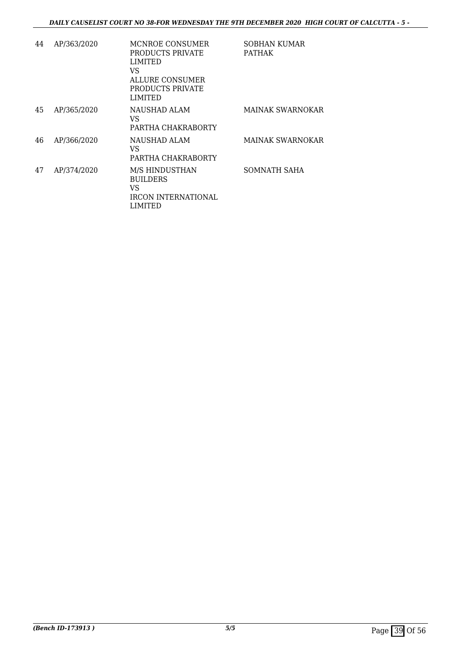| 44 | AP/363/2020 | MCNROE CONSUMER<br>PRODUCTS PRIVATE<br><b>LIMITED</b><br>VS<br>ALLURE CONSUMER<br>PRODUCTS PRIVATE<br>LIMITED | <b>SOBHAN KUMAR</b><br><b>PATHAK</b> |
|----|-------------|---------------------------------------------------------------------------------------------------------------|--------------------------------------|
| 45 | AP/365/2020 | NAUSHAD ALAM<br>VS<br>PARTHA CHAKRABORTY                                                                      | MAINAK SWARNOKAR                     |
| 46 | AP/366/2020 | NAUSHAD ALAM<br>VS<br>PARTHA CHAKRABORTY                                                                      | MAINAK SWARNOKAR                     |
| 47 | AP/374/2020 | M/S HINDUSTHAN<br><b>BUILDERS</b><br>VS<br>IRCON INTERNATIONAL<br>LIMITED                                     | <b>SOMNATH SAHA</b>                  |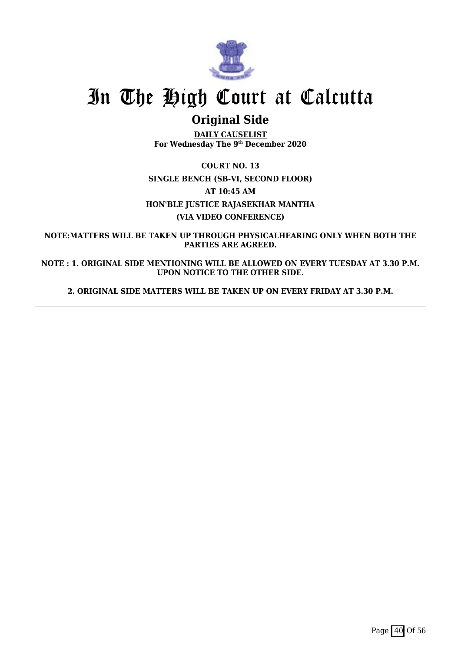

## **Original Side**

**DAILY CAUSELIST For Wednesday The 9th December 2020**

**COURT NO. 13 SINGLE BENCH (SB-VI, SECOND FLOOR) AT 10:45 AM HON'BLE JUSTICE RAJASEKHAR MANTHA (VIA VIDEO CONFERENCE)**

**NOTE:MATTERS WILL BE TAKEN UP THROUGH PHYSICALHEARING ONLY WHEN BOTH THE PARTIES ARE AGREED.**

**NOTE : 1. ORIGINAL SIDE MENTIONING WILL BE ALLOWED ON EVERY TUESDAY AT 3.30 P.M. UPON NOTICE TO THE OTHER SIDE.**

**2. ORIGINAL SIDE MATTERS WILL BE TAKEN UP ON EVERY FRIDAY AT 3.30 P.M.**

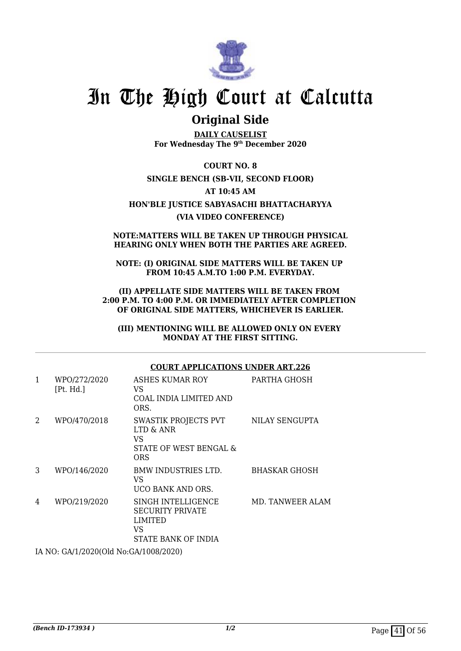

### **Original Side**

**DAILY CAUSELIST For Wednesday The 9th December 2020**

**COURT NO. 8 SINGLE BENCH (SB-VII, SECOND FLOOR) AT 10:45 AM HON'BLE JUSTICE SABYASACHI BHATTACHARYYA (VIA VIDEO CONFERENCE)**

#### **NOTE:MATTERS WILL BE TAKEN UP THROUGH PHYSICAL HEARING ONLY WHEN BOTH THE PARTIES ARE AGREED.**

**NOTE: (I) ORIGINAL SIDE MATTERS WILL BE TAKEN UP FROM 10:45 A.M.TO 1:00 P.M. EVERYDAY.**

**(II) APPELLATE SIDE MATTERS WILL BE TAKEN FROM 2:00 P.M. TO 4:00 P.M. OR IMMEDIATELY AFTER COMPLETION OF ORIGINAL SIDE MATTERS, WHICHEVER IS EARLIER.**

**(III) MENTIONING WILL BE ALLOWED ONLY ON EVERY MONDAY AT THE FIRST SITTING.**

#### **COURT APPLICATIONS UNDER ART.226** 1 WPO/272/2020 [Pt. Hd.] ASHES KUMAR ROY VS COAL INDIA LIMITED AND ORS. PARTHA GHOSH 2 WPO/470/2018 SWASTIK PROJECTS PVT LTD & ANR VS STATE OF WEST BENGAL & **ORS** NILAY SENGUPTA 3 WPO/146/2020 BMW INDUSTRIES LTD. VS UCO BANK AND ORS. BHASKAR GHOSH 4 WPO/219/2020 SINGH INTELLIGENCE SECURITY PRIVATE LIMITED VS STATE BANK OF INDIA MD. TANWEER ALAM

IA NO: GA/1/2020(Old No:GA/1008/2020)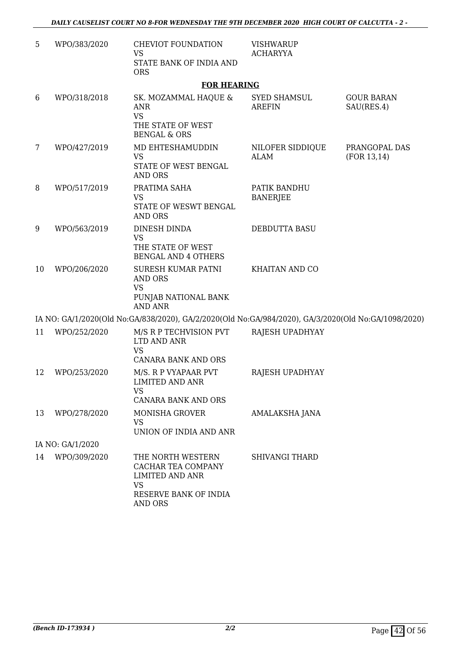| 5  | WPO/383/2020     | <b>CHEVIOT FOUNDATION</b><br><b>VS</b><br>STATE BANK OF INDIA AND<br><b>ORS</b>                                           | <b>VISHWARUP</b><br><b>ACHARYYA</b>  |                                 |
|----|------------------|---------------------------------------------------------------------------------------------------------------------------|--------------------------------------|---------------------------------|
|    |                  | <b>FOR HEARING</b>                                                                                                        |                                      |                                 |
| 6  | WPO/318/2018     | SK. MOZAMMAL HAQUE &<br><b>ANR</b><br><b>VS</b><br>THE STATE OF WEST<br><b>BENGAL &amp; ORS</b>                           | <b>SYED SHAMSUL</b><br><b>AREFIN</b> | <b>GOUR BARAN</b><br>SAU(RES.4) |
| 7  | WPO/427/2019     | MD EHTESHAMUDDIN<br><b>VS</b><br>STATE OF WEST BENGAL<br><b>AND ORS</b>                                                   | NILOFER SIDDIQUE<br><b>ALAM</b>      | PRANGOPAL DAS<br>(FOR 13, 14)   |
| 8  | WPO/517/2019     | PRATIMA SAHA<br><b>VS</b><br>STATE OF WESWT BENGAL<br><b>AND ORS</b>                                                      | PATIK BANDHU<br><b>BANERJEE</b>      |                                 |
| 9  | WPO/563/2019     | DINESH DINDA<br><b>VS</b><br>THE STATE OF WEST<br><b>BENGAL AND 4 OTHERS</b>                                              | DEBDUTTA BASU                        |                                 |
| 10 | WPO/206/2020     | <b>SURESH KUMAR PATNI</b><br><b>AND ORS</b><br><b>VS</b><br>PUNJAB NATIONAL BANK<br><b>AND ANR</b>                        | KHAITAN AND CO                       |                                 |
|    |                  | IA NO: GA/1/2020(Old No:GA/838/2020), GA/2/2020(Old No:GA/984/2020), GA/3/2020(Old No:GA/1098/2020)                       |                                      |                                 |
| 11 | WPO/252/2020     | M/S R P TECHVISION PVT<br>LTD AND ANR<br><b>VS</b><br>CANARA BANK AND ORS                                                 | RAJESH UPADHYAY                      |                                 |
| 12 | WPO/253/2020     | M/S. R P VYAPAAR PVT<br><b>LIMITED AND ANR</b><br><b>VS</b><br>CANARA BANK AND ORS                                        | RAJESH UPADHYAY                      |                                 |
| 13 | WPO/278/2020     | <b>MONISHA GROVER</b><br><b>VS</b><br>UNION OF INDIA AND ANR                                                              | AMALAKSHA JANA                       |                                 |
|    | IA NO: GA/1/2020 |                                                                                                                           |                                      |                                 |
| 14 | WPO/309/2020     | THE NORTH WESTERN<br>CACHAR TEA COMPANY<br><b>LIMITED AND ANR</b><br><b>VS</b><br>RESERVE BANK OF INDIA<br><b>AND ORS</b> | SHIVANGI THARD                       |                                 |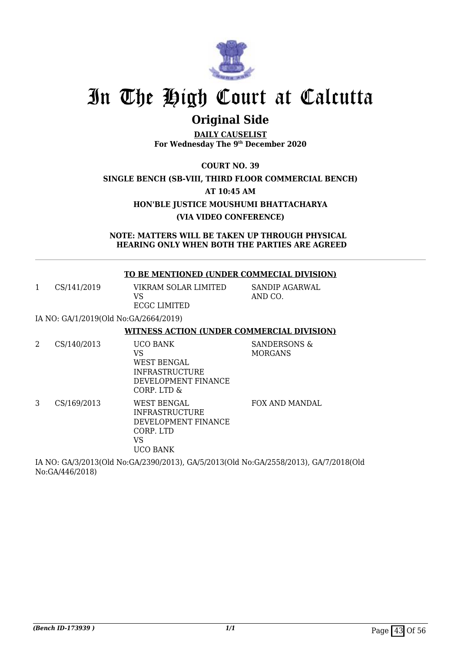

## **Original Side**

**DAILY CAUSELIST For Wednesday The 9th December 2020**

**COURT NO. 39**

### **SINGLE BENCH (SB-VIII, THIRD FLOOR COMMERCIAL BENCH)**

**AT 10:45 AM**

**HON'BLE JUSTICE MOUSHUMI BHATTACHARYA**

**(VIA VIDEO CONFERENCE)**

**NOTE: MATTERS WILL BE TAKEN UP THROUGH PHYSICAL HEARING ONLY WHEN BOTH THE PARTIES ARE AGREED**

### **TO BE MENTIONED (UNDER COMMECIAL DIVISION)**

1 CS/141/2019 VIKRAM SOLAR LIMITED VS ECGC LIMITED

AND CO.

SANDIP AGARWAL

IA NO: GA/1/2019(Old No:GA/2664/2019)

#### **WITNESS ACTION (UNDER COMMERCIAL DIVISION)**

2 CS/140/2013 UCO BANK VS WEST BENGAL INFRASTRUCTURE DEVELOPMENT FINANCE CORP. LTD & SANDERSONS & MORGANS 3 CS/169/2013 WEST BENGAL INFRASTRUCTURE DEVELOPMENT FINANCE CORP. LTD FOX AND MANDAL

VS

UCO BANK

IA NO: GA/3/2013(Old No:GA/2390/2013), GA/5/2013(Old No:GA/2558/2013), GA/7/2018(Old No:GA/446/2018)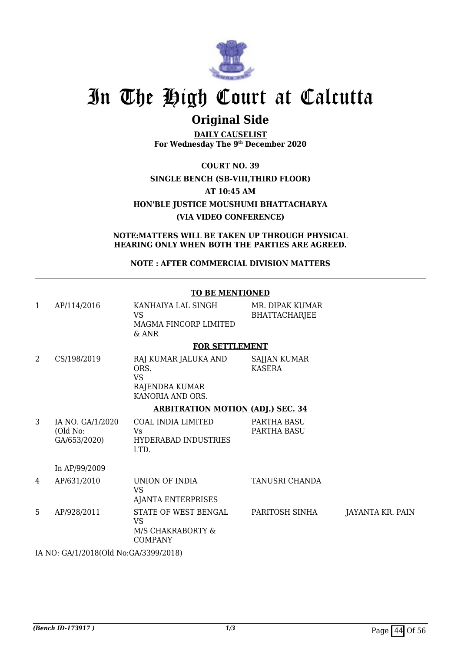

## **Original Side**

**DAILY CAUSELIST For Wednesday The 9th December 2020**

**COURT NO. 39 SINGLE BENCH (SB-VIII,THIRD FLOOR) AT 10:45 AM HON'BLE JUSTICE MOUSHUMI BHATTACHARYA (VIA VIDEO CONFERENCE)**

**NOTE:MATTERS WILL BE TAKEN UP THROUGH PHYSICAL HEARING ONLY WHEN BOTH THE PARTIES ARE AGREED.**

**NOTE : AFTER COMMERCIAL DIVISION MATTERS**

| 1 | AP/114/2016                                  | KANHAIYA LAL SINGH<br><b>VS</b><br>MAGMA FINCORP LIMITED<br>$&$ ANR             | MR. DIPAK KUMAR<br><b>BHATTACHARJEE</b> |                  |
|---|----------------------------------------------|---------------------------------------------------------------------------------|-----------------------------------------|------------------|
|   |                                              | <b>FOR SETTLEMENT</b>                                                           |                                         |                  |
| 2 | CS/198/2019                                  | RAJ KUMAR JALUKA AND<br>ORS.<br><b>VS</b><br>RAJENDRA KUMAR<br>KANORIA AND ORS. | <b>SAJJAN KUMAR</b><br>KASERA           |                  |
|   |                                              | <b>ARBITRATION MOTION (ADJ.) SEC. 34</b>                                        |                                         |                  |
| 3 | IA NO. GA/1/2020<br>(Old No:<br>GA/653/2020) | COAL INDIA LIMITED<br>Vs<br><b>HYDERABAD INDUSTRIES</b><br>LTD.                 | PARTHA BASU<br>PARTHA BASU              |                  |
|   | In AP/99/2009                                |                                                                                 |                                         |                  |
| 4 | AP/631/2010                                  | UNION OF INDIA<br><b>VS</b><br><b>AJANTA ENTERPRISES</b>                        | TANUSRI CHANDA                          |                  |
| 5 | AP/928/2011                                  | STATE OF WEST BENGAL<br><b>VS</b><br>M/S CHAKRABORTY &<br><b>COMPANY</b>        | PARITOSH SINHA                          | JAYANTA KR. PAIN |
|   | IA NO: GA/1/2018(Old No:GA/3399/2018)        |                                                                                 |                                         |                  |

### **TO BE MENTIONED**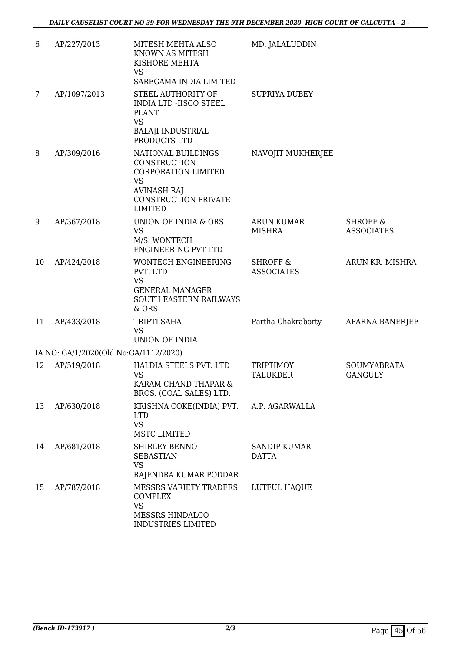| 6  | AP/227/2013                           | MITESH MEHTA ALSO<br>KNOWN AS MITESH<br>KISHORE MEHTA                                                                                         | MD. JALALUDDIN                           |                                          |
|----|---------------------------------------|-----------------------------------------------------------------------------------------------------------------------------------------------|------------------------------------------|------------------------------------------|
|    |                                       | <b>VS</b><br>SAREGAMA INDIA LIMITED                                                                                                           |                                          |                                          |
| 7  | AP/1097/2013                          | STEEL AUTHORITY OF<br><b>INDIA LTD -IISCO STEEL</b><br><b>PLANT</b><br><b>VS</b><br><b>BALAJI INDUSTRIAL</b><br>PRODUCTS LTD.                 | <b>SUPRIYA DUBEY</b>                     |                                          |
| 8  | AP/309/2016                           | NATIONAL BUILDINGS<br>CONSTRUCTION<br>CORPORATION LIMITED<br><b>VS</b><br><b>AVINASH RAJ</b><br><b>CONSTRUCTION PRIVATE</b><br><b>LIMITED</b> | NAVOJIT MUKHERJEE                        |                                          |
| 9  | AP/367/2018                           | UNION OF INDIA & ORS.<br><b>VS</b><br>M/S. WONTECH<br><b>ENGINEERING PVT LTD</b>                                                              | <b>ARUN KUMAR</b><br><b>MISHRA</b>       | <b>SHROFF &amp;</b><br><b>ASSOCIATES</b> |
| 10 | AP/424/2018                           | <b>WONTECH ENGINEERING</b><br>PVT. LTD<br><b>VS</b><br><b>GENERAL MANAGER</b><br>SOUTH EASTERN RAILWAYS<br>& ORS                              | <b>SHROFF &amp;</b><br><b>ASSOCIATES</b> | ARUN KR. MISHRA                          |
| 11 | AP/433/2018                           | TRIPTI SAHA<br><b>VS</b><br>UNION OF INDIA                                                                                                    | Partha Chakraborty                       | <b>APARNA BANERJEE</b>                   |
|    | IA NO: GA/1/2020(Old No:GA/1112/2020) |                                                                                                                                               |                                          |                                          |
| 12 | AP/519/2018                           | HALDIA STEELS PVT. LTD<br><b>VS</b><br>KARAM CHAND THAPAR &<br>BROS. (COAL SALES) LTD.                                                        | TRIPTIMOY<br><b>TALUKDER</b>             | <b>SOUMYABRATA</b><br><b>GANGULY</b>     |
| 13 | AP/630/2018                           | KRISHNA COKE(INDIA) PVT.<br><b>LTD</b><br><b>VS</b><br>MSTC LIMITED                                                                           | A.P. AGARWALLA                           |                                          |
| 14 | AP/681/2018                           | SHIRLEY BENNO<br><b>SEBASTIAN</b><br><b>VS</b><br>RAJENDRA KUMAR PODDAR                                                                       | <b>SANDIP KUMAR</b><br>DATTA             |                                          |
| 15 | AP/787/2018                           | MESSRS VARIETY TRADERS<br><b>COMPLEX</b><br><b>VS</b><br>MESSRS HINDALCO<br><b>INDUSTRIES LIMITED</b>                                         | LUTFUL HAQUE                             |                                          |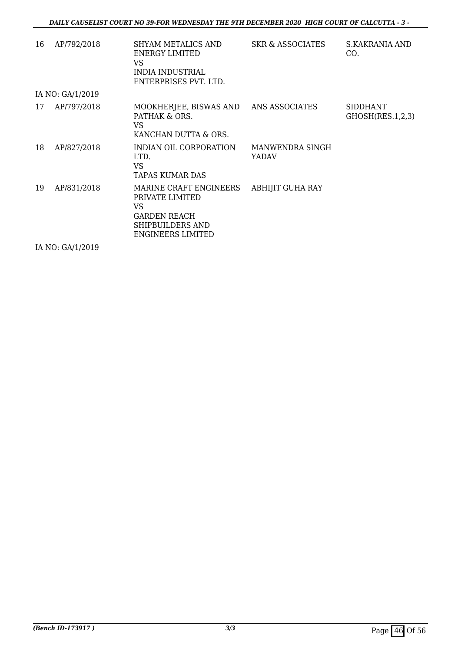| 16 | AP/792/2018      | SHYAM METALICS AND<br>ENERGY LIMITED<br><b>VS</b><br>INDIA INDUSTRIAL<br>ENTERPRISES PVT. LTD.                  | <b>SKR &amp; ASSOCIATES</b>     | S.KAKRANIA AND<br>CO.        |
|----|------------------|-----------------------------------------------------------------------------------------------------------------|---------------------------------|------------------------------|
|    | IA NO: GA/1/2019 |                                                                                                                 |                                 |                              |
| 17 | AP/797/2018      | MOOKHERJEE, BISWAS AND<br>PATHAK & ORS.<br>VS<br>KANCHAN DUTTA & ORS.                                           | ANS ASSOCIATES                  | SIDDHANT<br>GHOSH(RES.1,2,3) |
| 18 | AP/827/2018      | INDIAN OIL CORPORATION<br>LTD.<br><b>VS</b><br>TAPAS KUMAR DAS                                                  | MANWENDRA SINGH<br><b>YADAV</b> |                              |
| 19 | AP/831/2018      | MARINE CRAFT ENGINEERS<br>PRIVATE LIMITED<br>VS<br><b>GARDEN REACH</b><br>SHIPBUILDERS AND<br>ENGINEERS LIMITED | ABHIJIT GUHA RAY                |                              |

IA NO: GA/1/2019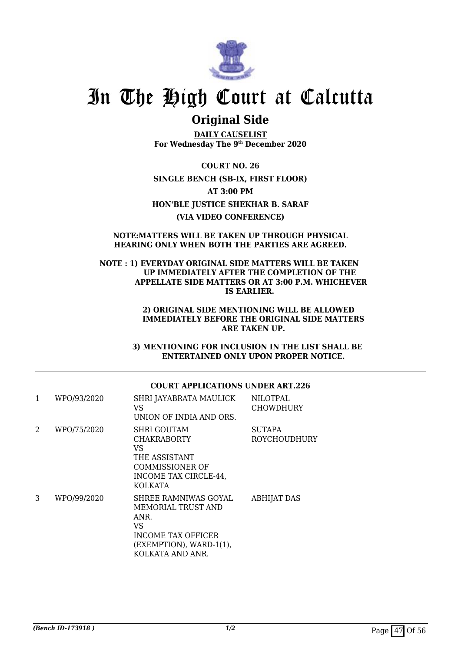

### **Original Side**

**DAILY CAUSELIST For Wednesday The 9th December 2020**

**COURT NO. 26 SINGLE BENCH (SB-IX, FIRST FLOOR) AT 3:00 PM HON'BLE JUSTICE SHEKHAR B. SARAF (VIA VIDEO CONFERENCE)**

#### **NOTE:MATTERS WILL BE TAKEN UP THROUGH PHYSICAL HEARING ONLY WHEN BOTH THE PARTIES ARE AGREED.**

#### **NOTE : 1) EVERYDAY ORIGINAL SIDE MATTERS WILL BE TAKEN UP IMMEDIATELY AFTER THE COMPLETION OF THE APPELLATE SIDE MATTERS OR AT 3:00 P.M. WHICHEVER IS EARLIER.**

#### **2) ORIGINAL SIDE MENTIONING WILL BE ALLOWED IMMEDIATELY BEFORE THE ORIGINAL SIDE MATTERS ARE TAKEN UP.**

 **3) MENTIONING FOR INCLUSION IN THE LIST SHALL BE ENTERTAINED ONLY UPON PROPER NOTICE.**

### **COURT APPLICATIONS UNDER ART.226**

| 1              | WPO/93/2020 | SHRI JAYABRATA MAULICK<br>VS<br>UNION OF INDIA AND ORS.                                                                              | <b>NILOTPAL</b><br><b>CHOWDHURY</b> |
|----------------|-------------|--------------------------------------------------------------------------------------------------------------------------------------|-------------------------------------|
| $\mathfrak{D}$ | WPO/75/2020 | <b>SHRI GOUTAM</b><br><b>CHAKRABORTY</b><br>VS<br>THE ASSISTANT<br>COMMISSIONER OF<br>INCOME TAX CIRCLE-44,<br>KOLKATA               | <b>SUTAPA</b><br>ROYCHOUDHURY       |
| 3              | WPO/99/2020 | SHREE RAMNIWAS GOYAL<br><b>MEMORIAL TRUST AND</b><br>ANR.<br>VS<br>INCOME TAX OFFICER<br>(EXEMPTION), WARD-1(1),<br>KOLKATA AND ANR. | <b>ABHIJAT DAS</b>                  |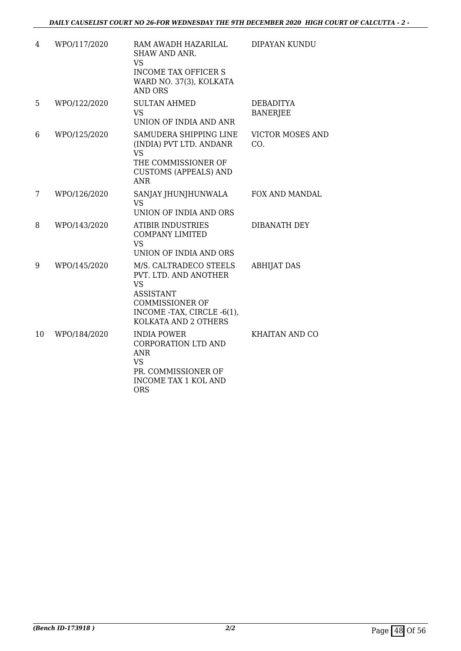| 4  | WPO/117/2020 | RAM AWADH HAZARILAL<br>SHAW AND ANR.<br><b>VS</b><br><b>INCOME TAX OFFICER S</b><br>WARD NO. 37(3), KOLKATA<br><b>AND ORS</b>                                    | DIPAYAN KUNDU                       |
|----|--------------|------------------------------------------------------------------------------------------------------------------------------------------------------------------|-------------------------------------|
| 5  | WPO/122/2020 | <b>SULTAN AHMED</b><br><b>VS</b><br>UNION OF INDIA AND ANR                                                                                                       | <b>DEBADITYA</b><br><b>BANERJEE</b> |
| 6  | WPO/125/2020 | SAMUDERA SHIPPING LINE<br>(INDIA) PVT LTD. ANDANR<br><b>VS</b><br>THE COMMISSIONER OF<br><b>CUSTOMS (APPEALS) AND</b><br><b>ANR</b>                              | <b>VICTOR MOSES AND</b><br>CO.      |
| 7  | WPO/126/2020 | SANJAY JHUNJHUNWALA<br><b>VS</b><br>UNION OF INDIA AND ORS                                                                                                       | <b>FOX AND MANDAL</b>               |
| 8  | WPO/143/2020 | <b>ATIBIR INDUSTRIES</b><br><b>COMPANY LIMITED</b><br><b>VS</b><br>UNION OF INDIA AND ORS                                                                        | DIBANATH DEY                        |
| 9  | WPO/145/2020 | M/S. CALTRADECO STEELS<br>PVT. LTD. AND ANOTHER<br><b>VS</b><br><b>ASSISTANT</b><br><b>COMMISSIONER OF</b><br>INCOME -TAX, CIRCLE -6(1),<br>KOLKATA AND 2 OTHERS | <b>ABHIJAT DAS</b>                  |
| 10 | WPO/184/2020 | <b>INDIA POWER</b><br><b>CORPORATION LTD AND</b><br><b>ANR</b><br><b>VS</b><br>PR. COMMISSIONER OF<br><b>INCOME TAX 1 KOL AND</b><br><b>ORS</b>                  | KHAITAN AND CO                      |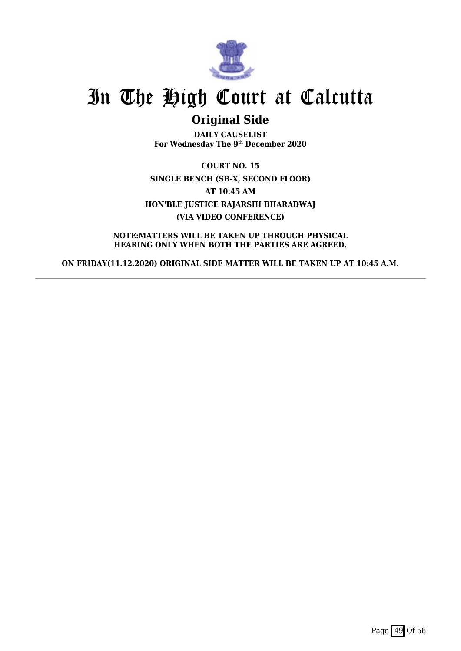

## **Original Side**

**DAILY CAUSELIST For Wednesday The 9th December 2020**

**COURT NO. 15 SINGLE BENCH (SB-X, SECOND FLOOR) AT 10:45 AM HON'BLE JUSTICE RAJARSHI BHARADWAJ (VIA VIDEO CONFERENCE)**

**NOTE:MATTERS WILL BE TAKEN UP THROUGH PHYSICAL HEARING ONLY WHEN BOTH THE PARTIES ARE AGREED.**

**ON FRIDAY(11.12.2020) ORIGINAL SIDE MATTER WILL BE TAKEN UP AT 10:45 A.M.**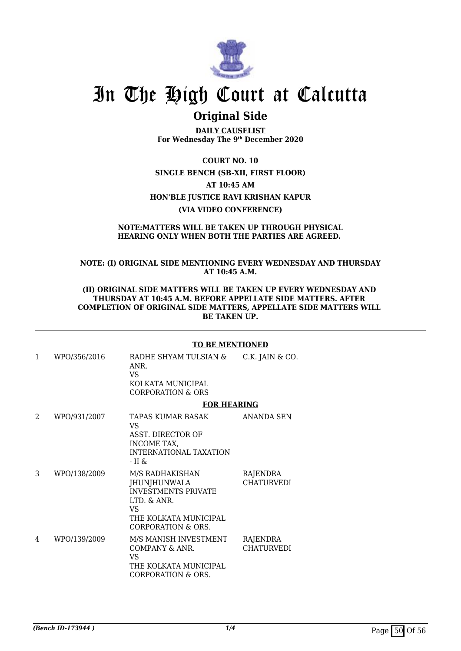

### **Original Side**

**DAILY CAUSELIST For Wednesday The 9th December 2020**

**COURT NO. 10 SINGLE BENCH (SB-XII, FIRST FLOOR) AT 10:45 AM HON'BLE JUSTICE RAVI KRISHAN KAPUR (VIA VIDEO CONFERENCE)**

#### **NOTE:MATTERS WILL BE TAKEN UP THROUGH PHYSICAL HEARING ONLY WHEN BOTH THE PARTIES ARE AGREED.**

### **NOTE: (I) ORIGINAL SIDE MENTIONING EVERY WEDNESDAY AND THURSDAY AT 10:45 A.M.**

#### **(II) ORIGINAL SIDE MATTERS WILL BE TAKEN UP EVERY WEDNESDAY AND THURSDAY AT 10:45 A.M. BEFORE APPELLATE SIDE MATTERS. AFTER COMPLETION OF ORIGINAL SIDE MATTERS, APPELLATE SIDE MATTERS WILL BE TAKEN UP.**

#### **TO BE MENTIONED**

1 WPO/356/2016 RADHE SHYAM TULSIAN & ANR. VS KOLKATA MUNICIPAL CORPORATION & ORS C.K. JAIN & CO. **FOR HEARING** 2 WPO/931/2007 TAPAS KUMAR BASAK VS ASST. DIRECTOR OF INCOME TAX, INTERNATIONAL TAXATION - II & ANANDA SEN 3 WPO/138/2009 M/S RADHAKISHAN JHUNJHUNWALA INVESTMENTS PRIVATE LTD. & ANR. VS THE KOLKATA MUNICIPAL CORPORATION & ORS. RAJENDRA CHATURVEDI 4 WPO/139/2009 M/S MANISH INVESTMENT COMPANY & ANR. VS THE KOLKATA MUNICIPAL CORPORATION & ORS. RAJENDRA **CHATURVEDI**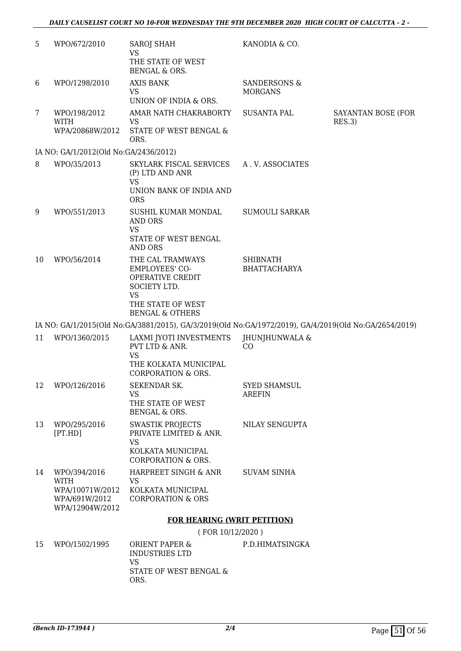| 5  | WPO/672/2010                                        | <b>SAROJ SHAH</b><br>VS                                                                               | KANODIA & CO.                        |                              |
|----|-----------------------------------------------------|-------------------------------------------------------------------------------------------------------|--------------------------------------|------------------------------|
|    |                                                     | THE STATE OF WEST<br>BENGAL & ORS.                                                                    |                                      |                              |
| 6  | WPO/1298/2010                                       | <b>AXIS BANK</b>                                                                                      | SANDERSONS &                         |                              |
|    |                                                     | <b>VS</b><br>UNION OF INDIA & ORS.                                                                    | <b>MORGANS</b>                       |                              |
| 7  | WPO/198/2012<br><b>WITH</b>                         | AMAR NATH CHAKRABORTY<br>VS                                                                           | <b>SUSANTA PAL</b>                   | SAYANTAN BOSE (FOR<br>RES.3) |
|    | WPA/20868W/2012                                     | STATE OF WEST BENGAL &<br>ORS.                                                                        |                                      |                              |
|    | IA NO: GA/1/2012(Old No:GA/2436/2012)               |                                                                                                       |                                      |                              |
| 8  | WPO/35/2013                                         | SKYLARK FISCAL SERVICES<br>(P) LTD AND ANR<br><b>VS</b>                                               | A.V. ASSOCIATES                      |                              |
|    |                                                     | UNION BANK OF INDIA AND<br><b>ORS</b>                                                                 |                                      |                              |
| 9  | WPO/551/2013                                        | SUSHIL KUMAR MONDAL<br><b>AND ORS</b><br><b>VS</b>                                                    | <b>SUMOULI SARKAR</b>                |                              |
|    |                                                     | STATE OF WEST BENGAL<br><b>AND ORS</b>                                                                |                                      |                              |
| 10 | WPO/56/2014                                         | THE CAL TRAMWAYS<br><b>EMPLOYEES' CO-</b><br><b>OPERATIVE CREDIT</b><br>SOCIETY LTD.<br><b>VS</b>     | <b>SHIBNATH</b><br>BHATTACHARYA      |                              |
|    |                                                     | THE STATE OF WEST<br><b>BENGAL &amp; OTHERS</b>                                                       |                                      |                              |
|    |                                                     | IA NO: GA/1/2015(Old No:GA/3881/2015), GA/3/2019(Old No:GA/1972/2019), GA/4/2019(Old No:GA/2654/2019) |                                      |                              |
| 11 | WPO/1360/2015                                       | LAXMI JYOTI INVESTMENTS<br>PVT LTD & ANR.<br><b>VS</b>                                                | JHUNJHUNWALA &<br>CO                 |                              |
|    |                                                     | THE KOLKATA MUNICIPAL<br><b>CORPORATION &amp; ORS.</b>                                                |                                      |                              |
| 12 | WPO/126/2016                                        | SEKENDAR SK.<br>VS<br>THE STATE OF WEST<br>BENGAL & ORS.                                              | <b>SYED SHAMSUL</b><br><b>AREFIN</b> |                              |
| 13 | WPO/295/2016<br>[PT.HD]                             | <b>SWASTIK PROJECTS</b><br>PRIVATE LIMITED & ANR.<br><b>VS</b><br>KOLKATA MUNICIPAL                   | NILAY SENGUPTA                       |                              |
| 14 | WPO/394/2016                                        | <b>CORPORATION &amp; ORS.</b><br>HARPREET SINGH & ANR                                                 | <b>SUVAM SINHA</b>                   |                              |
|    | <b>WITH</b>                                         | <b>VS</b>                                                                                             |                                      |                              |
|    | WPA/10071W/2012<br>WPA/691W/2012<br>WPA/12904W/2012 | KOLKATA MUNICIPAL<br><b>CORPORATION &amp; ORS</b>                                                     |                                      |                              |
|    |                                                     | <b>FOR HEARING (WRIT PETITION)</b>                                                                    |                                      |                              |
|    |                                                     | (FOR 10/12/2020)                                                                                      |                                      |                              |
| 15 | WPO/1502/1995                                       | <b>ORIENT PAPER &amp;</b><br><b>INDUSTRIES LTD</b><br><b>VS</b>                                       | P.D.HIMATSINGKA                      |                              |
|    |                                                     | STATE OF WEST BENGAL &<br>ORS.                                                                        |                                      |                              |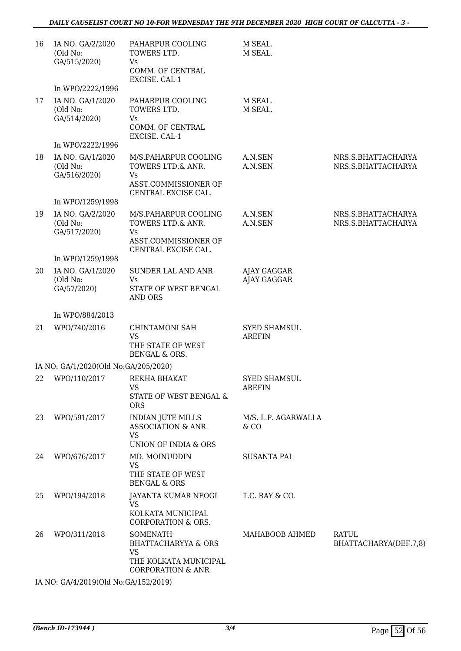| 16 | IA NO. GA/2/2020<br>(Old No:<br>GA/515/2020) | PAHARPUR COOLING<br>TOWERS LTD.<br>Vs.<br>COMM. OF CENTRAL<br>EXCISE. CAL-1                                      | M SEAL.<br>M SEAL.                   |                                          |
|----|----------------------------------------------|------------------------------------------------------------------------------------------------------------------|--------------------------------------|------------------------------------------|
|    | In WPO/2222/1996                             |                                                                                                                  |                                      |                                          |
| 17 | IA NO. GA/1/2020<br>(Old No:<br>GA/514/2020) | PAHARPUR COOLING<br>TOWERS LTD.<br>Vs<br>COMM. OF CENTRAL<br>EXCISE. CAL-1                                       | M SEAL.<br>M SEAL.                   |                                          |
|    | In WPO/2222/1996                             |                                                                                                                  |                                      |                                          |
| 18 | IA NO. GA/1/2020<br>(Old No:<br>GA/516/2020) | M/S.PAHARPUR COOLING<br>TOWERS LTD.& ANR.<br>Vs<br>ASST.COMMISSIONER OF<br>CENTRAL EXCISE CAL.                   | A.N.SEN<br>A.N.SEN                   | NRS.S.BHATTACHARYA<br>NRS.S.BHATTACHARYA |
|    | In WPO/1259/1998                             |                                                                                                                  |                                      |                                          |
| 19 | IA NO. GA/2/2020<br>(Old No:<br>GA/517/2020) | M/S.PAHARPUR COOLING<br>TOWERS LTD.& ANR.<br>Vs<br>ASST.COMMISSIONER OF<br>CENTRAL EXCISE CAL.                   | A.N.SEN<br>A.N.SEN                   | NRS.S.BHATTACHARYA<br>NRS.S.BHATTACHARYA |
|    | In WPO/1259/1998                             |                                                                                                                  |                                      |                                          |
| 20 | IA NO. GA/1/2020<br>(Old No:<br>GA/57/2020)  | <b>SUNDER LAL AND ANR</b><br><b>Vs</b><br>STATE OF WEST BENGAL<br><b>AND ORS</b>                                 | AJAY GAGGAR<br><b>AJAY GAGGAR</b>    |                                          |
|    | In WPO/884/2013                              |                                                                                                                  |                                      |                                          |
| 21 | WPO/740/2016                                 | CHINTAMONI SAH<br><b>VS</b><br>THE STATE OF WEST<br><b>BENGAL &amp; ORS.</b>                                     | <b>SYED SHAMSUL</b><br><b>AREFIN</b> |                                          |
|    | IA NO: GA/1/2020(Old No:GA/205/2020)         |                                                                                                                  |                                      |                                          |
| 22 | WPO/110/2017                                 | REKHA BHAKAT<br>VS<br>STATE OF WEST BENGAL &<br><b>ORS</b>                                                       | <b>SYED SHAMSUL</b><br><b>AREFIN</b> |                                          |
| 23 | WPO/591/2017                                 | <b>INDIAN JUTE MILLS</b><br><b>ASSOCIATION &amp; ANR</b><br><b>VS</b><br><b>UNION OF INDIA &amp; ORS</b>         | M/S. L.P. AGARWALLA<br>$&$ CO        |                                          |
| 24 | WPO/676/2017                                 | MD. MOINUDDIN<br><b>VS</b><br>THE STATE OF WEST<br><b>BENGAL &amp; ORS</b>                                       | <b>SUSANTA PAL</b>                   |                                          |
| 25 | WPO/194/2018                                 | JAYANTA KUMAR NEOGI<br>VS<br>KOLKATA MUNICIPAL<br><b>CORPORATION &amp; ORS.</b>                                  | T.C. RAY & CO.                       |                                          |
| 26 | WPO/311/2018                                 | <b>SOMENATH</b><br><b>BHATTACHARYYA &amp; ORS</b><br>VS<br>THE KOLKATA MUNICIPAL<br><b>CORPORATION &amp; ANR</b> | MAHABOOB AHMED                       | RATUL<br>BHATTACHARYA(DEF.7,8)           |

IA NO: GA/4/2019(Old No:GA/152/2019)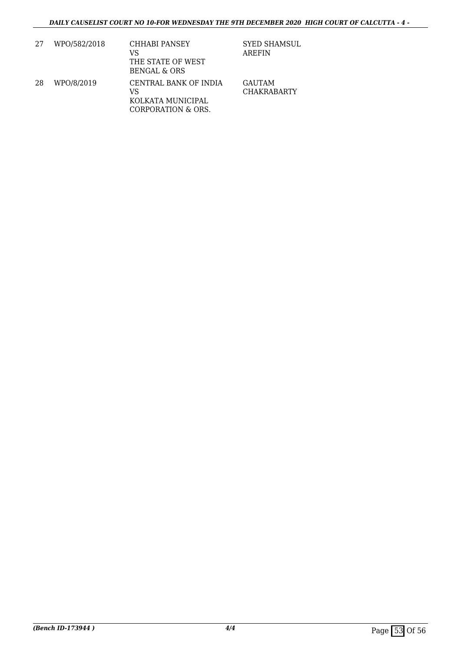| 27 | WPO/582/2018 | CHHABI PANSEY<br>VS<br>THE STATE OF WEST<br><b>BENGAL &amp; ORS</b>    | <b>SYED SHAMSUL</b><br><b>AREFIN</b> |
|----|--------------|------------------------------------------------------------------------|--------------------------------------|
| 28 | WPO/8/2019   | CENTRAL BANK OF INDIA<br>VS<br>KOLKATA MUNICIPAL<br>CORPORATION & ORS. | GAUTAM<br><b>CHAKRABARTY</b>         |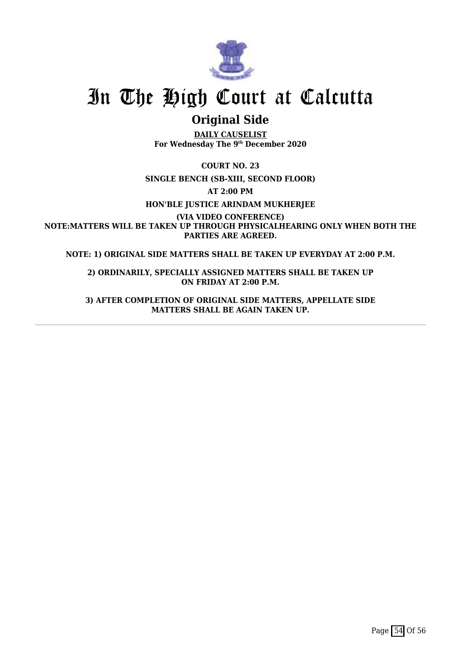

## **Original Side**

**DAILY CAUSELIST For Wednesday The 9th December 2020**

**COURT NO. 23**

**SINGLE BENCH (SB-XIII, SECOND FLOOR)**

**AT 2:00 PM**

**HON'BLE JUSTICE ARINDAM MUKHERJEE**

**(VIA VIDEO CONFERENCE) NOTE:MATTERS WILL BE TAKEN UP THROUGH PHYSICALHEARING ONLY WHEN BOTH THE PARTIES ARE AGREED.**

**NOTE: 1) ORIGINAL SIDE MATTERS SHALL BE TAKEN UP EVERYDAY AT 2:00 P.M.**

**2) ORDINARILY, SPECIALLY ASSIGNED MATTERS SHALL BE TAKEN UP ON FRIDAY AT 2:00 P.M.**

**3) AFTER COMPLETION OF ORIGINAL SIDE MATTERS, APPELLATE SIDE MATTERS SHALL BE AGAIN TAKEN UP.**

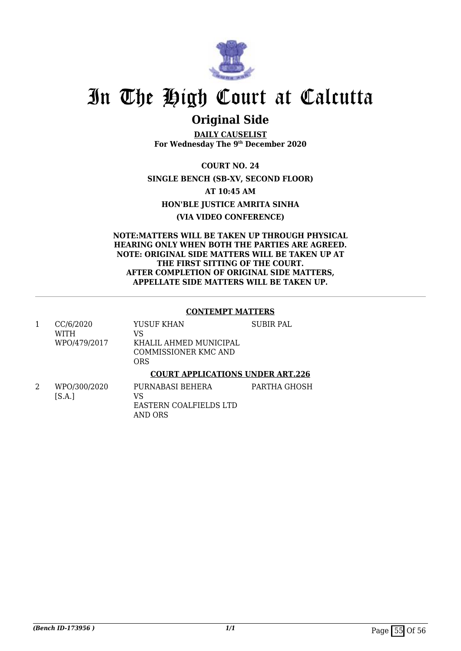

### **Original Side**

**DAILY CAUSELIST For Wednesday The 9th December 2020**

**COURT NO. 24 SINGLE BENCH (SB-XV, SECOND FLOOR) AT 10:45 AM HON'BLE JUSTICE AMRITA SINHA (VIA VIDEO CONFERENCE)**

**NOTE:MATTERS WILL BE TAKEN UP THROUGH PHYSICAL HEARING ONLY WHEN BOTH THE PARTIES ARE AGREED. NOTE: ORIGINAL SIDE MATTERS WILL BE TAKEN UP AT THE FIRST SITTING OF THE COURT. AFTER COMPLETION OF ORIGINAL SIDE MATTERS, APPELLATE SIDE MATTERS WILL BE TAKEN UP.**

### **CONTEMPT MATTERS**

| CC/6/2020<br>WITH<br>WPO/479/2017 | YUSUF KHAN<br>VS<br>KHALIL AHMED MUNICIPAL<br>COMMISSIONER KMC AND<br>ORS | SUBIR PAL |
|-----------------------------------|---------------------------------------------------------------------------|-----------|
|                                   | <b>COURT APPLICATIONS UNDER ART.226</b>                                   |           |

2 WPO/300/2020  $[S.A.]$ PURNABASI BEHERA VS EASTERN COALFIELDS LTD AND ORS PARTHA GHOSH